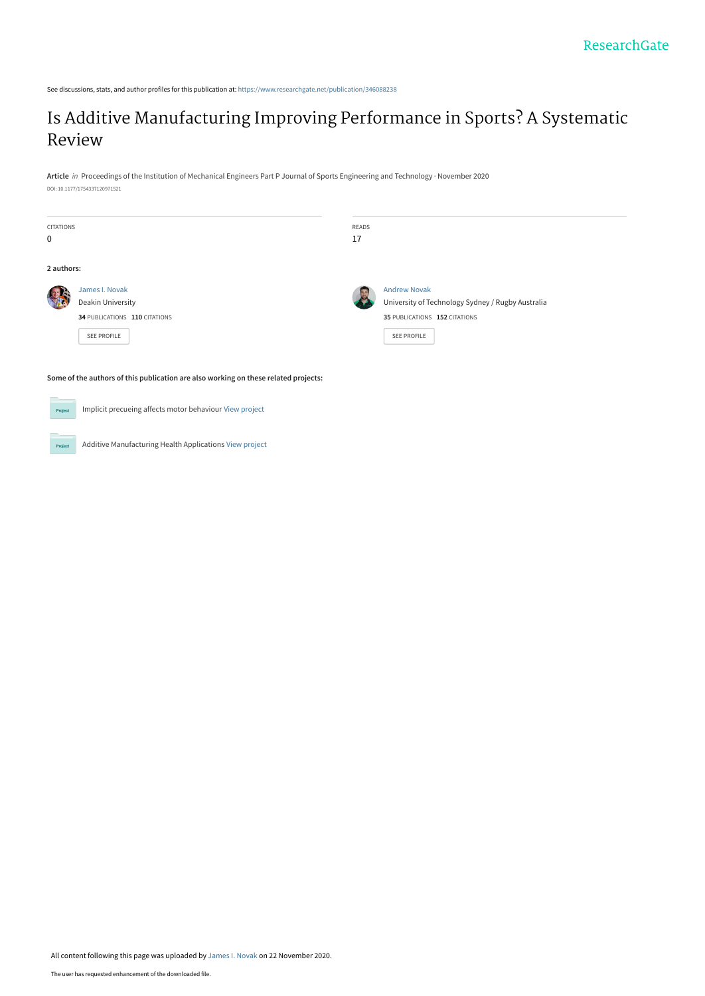See discussions, stats, and author profiles for this publication at: [https://www.researchgate.net/publication/346088238](https://www.researchgate.net/publication/346088238_Is_Additive_Manufacturing_Improving_Performance_in_Sports_A_Systematic_Review?enrichId=rgreq-44e67fd7a6af9556c9de613d62333bcd-XXX&enrichSource=Y292ZXJQYWdlOzM0NjA4ODIzODtBUzo5NjA4MDE1NzM3MjgyNTZAMTYwNjA4NDM1NDI2NA%3D%3D&el=1_x_2&_esc=publicationCoverPdf)

# [Is Additive Manufacturing Improving Performance in Sports? A Systematic](https://www.researchgate.net/publication/346088238_Is_Additive_Manufacturing_Improving_Performance_in_Sports_A_Systematic_Review?enrichId=rgreq-44e67fd7a6af9556c9de613d62333bcd-XXX&enrichSource=Y292ZXJQYWdlOzM0NjA4ODIzODtBUzo5NjA4MDE1NzM3MjgyNTZAMTYwNjA4NDM1NDI2NA%3D%3D&el=1_x_3&_esc=publicationCoverPdf) Review

**Article** in Proceedings of the Institution of Mechanical Engineers Part P Journal of Sports Engineering and Technology · November 2020 DOI: 10.1177/1754337120971521

| <b>CITATIONS</b><br>$\mathbf 0$ |                                                                                     | READS<br>17 |                                                                                                                          |
|---------------------------------|-------------------------------------------------------------------------------------|-------------|--------------------------------------------------------------------------------------------------------------------------|
| 2 authors:                      |                                                                                     |             |                                                                                                                          |
|                                 | James I. Novak<br>Deakin University<br>34 PUBLICATIONS 110 CITATIONS<br>SEE PROFILE | 25          | <b>Andrew Novak</b><br>University of Technology Sydney / Rugby Australia<br>35 PUBLICATIONS 152 CITATIONS<br>SEE PROFILE |

**Some of the authors of this publication are also working on these related projects:**

 $Prc$ 

Proj

Implicit precueing affects motor behaviour [View project](https://www.researchgate.net/project/Implicit-precueing-affects-motor-behaviour?enrichId=rgreq-44e67fd7a6af9556c9de613d62333bcd-XXX&enrichSource=Y292ZXJQYWdlOzM0NjA4ODIzODtBUzo5NjA4MDE1NzM3MjgyNTZAMTYwNjA4NDM1NDI2NA%3D%3D&el=1_x_9&_esc=publicationCoverPdf)

Additive Manufacturing Health Applications [View project](https://www.researchgate.net/project/Additive-Manufacturing-Health-Applications?enrichId=rgreq-44e67fd7a6af9556c9de613d62333bcd-XXX&enrichSource=Y292ZXJQYWdlOzM0NjA4ODIzODtBUzo5NjA4MDE1NzM3MjgyNTZAMTYwNjA4NDM1NDI2NA%3D%3D&el=1_x_9&_esc=publicationCoverPdf)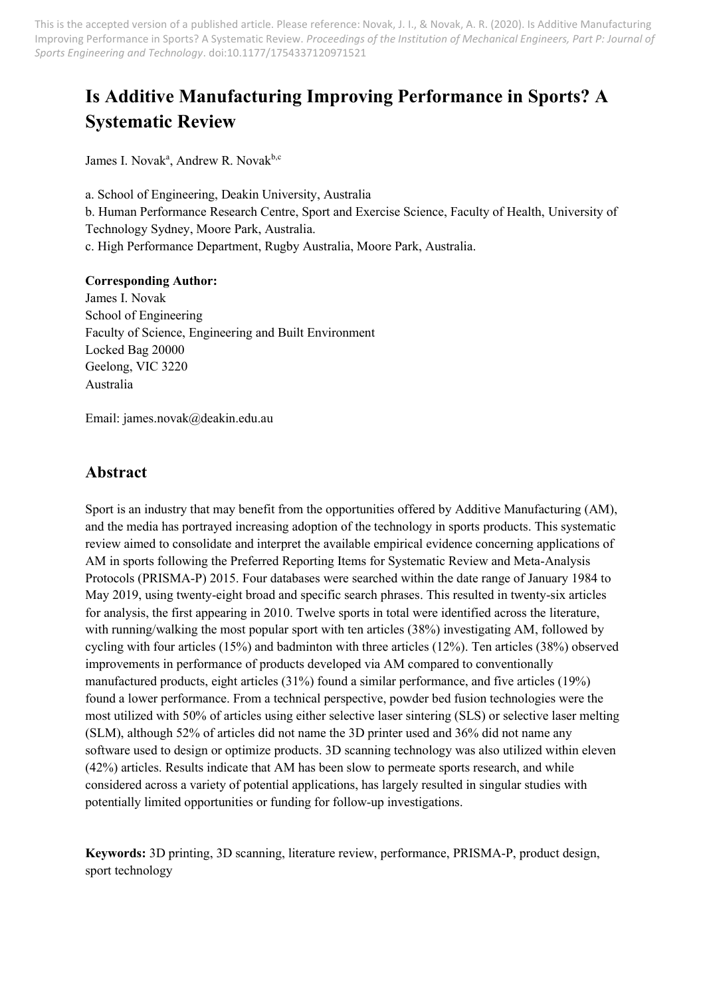# **Is Additive Manufacturing Improving Performance in Sports? A Systematic Review**

James I. Novak<sup>a</sup>, Andrew R. Novak<sup>b,c</sup>

a. School of Engineering, Deakin University, Australia b. Human Performance Research Centre, Sport and Exercise Science, Faculty of Health, University of Technology Sydney, Moore Park, Australia. c. High Performance Department, Rugby Australia, Moore Park, Australia.

#### **Corresponding Author:**

James I. Novak School of Engineering Faculty of Science, Engineering and Built Environment Locked Bag 20000 Geelong, VIC 3220 Australia

Email: james.novak@deakin.edu.au

### **Abstract**

Sport is an industry that may benefit from the opportunities offered by Additive Manufacturing (AM), and the media has portrayed increasing adoption of the technology in sports products. This systematic review aimed to consolidate and interpret the available empirical evidence concerning applications of AM in sports following the Preferred Reporting Items for Systematic Review and Meta-Analysis Protocols (PRISMA-P) 2015. Four databases were searched within the date range of January 1984 to May 2019, using twenty-eight broad and specific search phrases. This resulted in twenty-six articles for analysis, the first appearing in 2010. Twelve sports in total were identified across the literature, with running/walking the most popular sport with ten articles (38%) investigating AM, followed by cycling with four articles (15%) and badminton with three articles (12%). Ten articles (38%) observed improvements in performance of products developed via AM compared to conventionally manufactured products, eight articles (31%) found a similar performance, and five articles (19%) found a lower performance. From a technical perspective, powder bed fusion technologies were the most utilized with 50% of articles using either selective laser sintering (SLS) or selective laser melting (SLM), although 52% of articles did not name the 3D printer used and 36% did not name any software used to design or optimize products. 3D scanning technology was also utilized within eleven (42%) articles. Results indicate that AM has been slow to permeate sports research, and while considered across a variety of potential applications, has largely resulted in singular studies with potentially limited opportunities or funding for follow-up investigations.

**Keywords:** 3D printing, 3D scanning, literature review, performance, PRISMA-P, product design, sport technology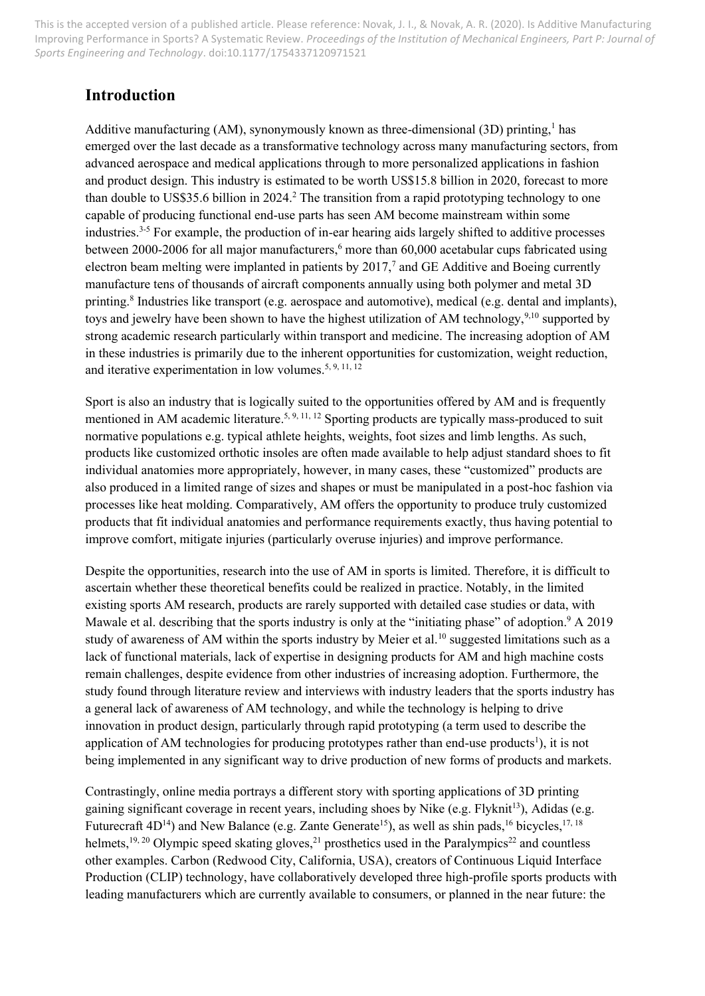## **Introduction**

Additive manufacturing (AM), synonymously known as three-dimensional (3D) printing,<sup>1</sup> has emerged over the last decade as a transformative technology across many manufacturing sectors, from advanced aerospace and medical applications through to more personalized applications in fashion and product design. This industry is estimated to be worth US\$15.8 billion in 2020, forecast to more than double to US\$35.6 billion in 2024.<sup>2</sup> The transition from a rapid prototyping technology to one capable of producing functional end-use parts has seen AM become mainstream within some industries. 3-5 For example, the production of in-ear hearing aids largely shifted to additive processes between 2000-2006 for all major manufacturers, <sup>6</sup> more than 60,000 acetabular cups fabricated using electron beam melting were implanted in patients by  $2017<sup>7</sup>$  and GE Additive and Boeing currently manufacture tens of thousands of aircraft components annually using both polymer and metal 3D printing.<sup>8</sup> Industries like transport (e.g. aerospace and automotive), medical (e.g. dental and implants), toys and jewelry have been shown to have the highest utilization of AM technology,<sup>9,10</sup> supported by strong academic research particularly within transport and medicine. The increasing adoption of AM in these industries is primarily due to the inherent opportunities for customization, weight reduction, and iterative experimentation in low volumes.<sup>5, 9, 11, 12</sup>

Sport is also an industry that is logically suited to the opportunities offered by AM and is frequently mentioned in AM academic literature.<sup>5, 9, 11, 12</sup> Sporting products are typically mass-produced to suit normative populations e.g. typical athlete heights, weights, foot sizes and limb lengths. As such, products like customized orthotic insoles are often made available to help adjust standard shoes to fit individual anatomies more appropriately, however, in many cases, these "customized" products are also produced in a limited range of sizes and shapes or must be manipulated in a post-hoc fashion via processes like heat molding. Comparatively, AM offers the opportunity to produce truly customized products that fit individual anatomies and performance requirements exactly, thus having potential to improve comfort, mitigate injuries (particularly overuse injuries) and improve performance.

Despite the opportunities, research into the use of AM in sports is limited. Therefore, it is difficult to ascertain whether these theoretical benefits could be realized in practice. Notably, in the limited existing sports AM research, products are rarely supported with detailed case studies or data, with Mawale et al. describing that the sports industry is only at the "initiating phase" of adoption.<sup>9</sup> A 2019 study of awareness of AM within the sports industry by Meier et al.<sup>10</sup> suggested limitations such as a lack of functional materials, lack of expertise in designing products for AM and high machine costs remain challenges, despite evidence from other industries of increasing adoption. Furthermore, the study found through literature review and interviews with industry leaders that the sports industry has a general lack of awareness of AM technology, and while the technology is helping to drive innovation in product design, particularly through rapid prototyping (a term used to describe the application of AM technologies for producing prototypes rather than end-use products<sup>1</sup>), it is not being implemented in any significant way to drive production of new forms of products and markets.

Contrastingly, online media portrays a different story with sporting applications of 3D printing gaining significant coverage in recent years, including shoes by Nike (e.g. Flyknit<sup>13</sup>), Adidas (e.g. Futurecraft  $4D^{14}$ ) and New Balance (e.g. Zante Generate<sup>15</sup>), as well as shin pads, <sup>16</sup> bicycles, <sup>17, 18</sup> helmets,<sup>19, 20</sup> Olympic speed skating gloves,<sup>21</sup> prosthetics used in the Paralympics<sup>22</sup> and countless other examples. Carbon (Redwood City, California, USA), creators of Continuous Liquid Interface Production (CLIP) technology, have collaboratively developed three high-profile sports products with leading manufacturers which are currently available to consumers, or planned in the near future: the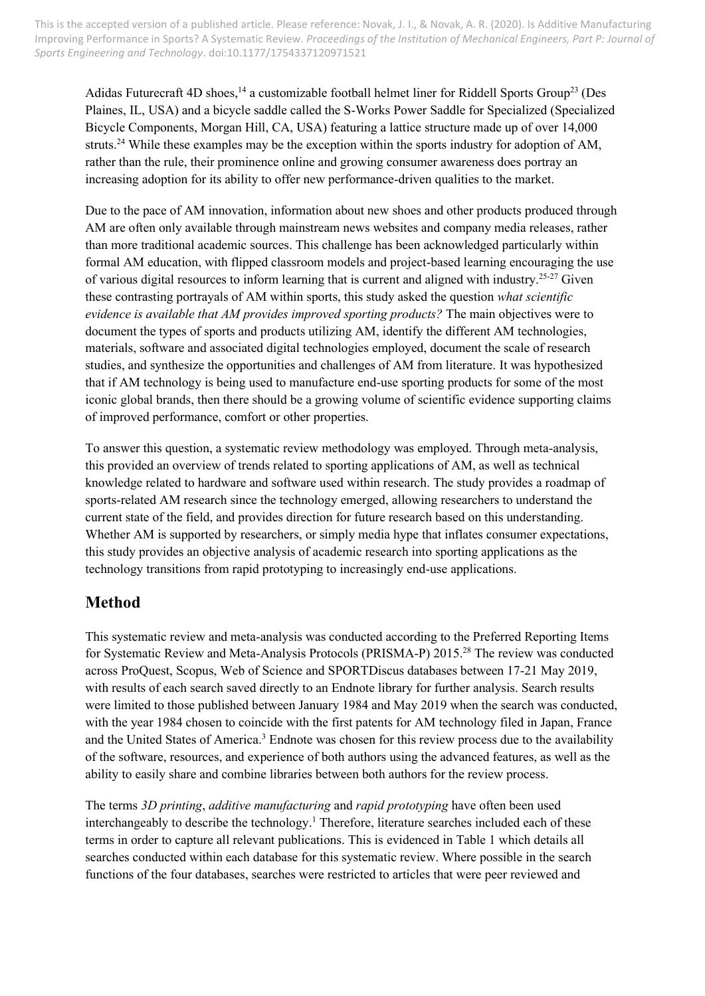Adidas Futurecraft 4D shoes,<sup>14</sup> a customizable football helmet liner for Riddell Sports Group<sup>23</sup> (Des Plaines, IL, USA) and a bicycle saddle called the S-Works Power Saddle for Specialized (Specialized Bicycle Components, Morgan Hill, CA, USA) featuring a lattice structure made up of over 14,000 struts.<sup>24</sup> While these examples may be the exception within the sports industry for adoption of AM, rather than the rule, their prominence online and growing consumer awareness does portray an increasing adoption for its ability to offer new performance-driven qualities to the market.

Due to the pace of AM innovation, information about new shoes and other products produced through AM are often only available through mainstream news websites and company media releases, rather than more traditional academic sources. This challenge has been acknowledged particularly within formal AM education, with flipped classroom models and project-based learning encouraging the use of various digital resources to inform learning that is current and aligned with industry.<sup>25-27</sup> Given these contrasting portrayals of AM within sports, this study asked the question *what scientific evidence is available that AM provides improved sporting products?* The main objectives were to document the types of sports and products utilizing AM, identify the different AM technologies, materials, software and associated digital technologies employed, document the scale of research studies, and synthesize the opportunities and challenges of AM from literature. It was hypothesized that if AM technology is being used to manufacture end-use sporting products for some of the most iconic global brands, then there should be a growing volume of scientific evidence supporting claims of improved performance, comfort or other properties.

To answer this question, a systematic review methodology was employed. Through meta-analysis, this provided an overview of trends related to sporting applications of AM, as well as technical knowledge related to hardware and software used within research. The study provides a roadmap of sports-related AM research since the technology emerged, allowing researchers to understand the current state of the field, and provides direction for future research based on this understanding. Whether AM is supported by researchers, or simply media hype that inflates consumer expectations, this study provides an objective analysis of academic research into sporting applications as the technology transitions from rapid prototyping to increasingly end-use applications.

# **Method**

This systematic review and meta-analysis was conducted according to the Preferred Reporting Items for Systematic Review and Meta-Analysis Protocols (PRISMA-P) 2015. <sup>28</sup> The review was conducted across ProQuest, Scopus, Web of Science and SPORTDiscus databases between 17-21 May 2019, with results of each search saved directly to an Endnote library for further analysis. Search results were limited to those published between January 1984 and May 2019 when the search was conducted, with the year 1984 chosen to coincide with the first patents for AM technology filed in Japan, France and the United States of America.<sup>3</sup> Endnote was chosen for this review process due to the availability of the software, resources, and experience of both authors using the advanced features, as well as the ability to easily share and combine libraries between both authors for the review process.

The terms *3D printing*, *additive manufacturing* and *rapid prototyping* have often been used interchangeably to describe the technology. <sup>1</sup> Therefore, literature searches included each of these terms in order to capture all relevant publications. This is evidenced in Table 1 which details all searches conducted within each database for this systematic review. Where possible in the search functions of the four databases, searches were restricted to articles that were peer reviewed and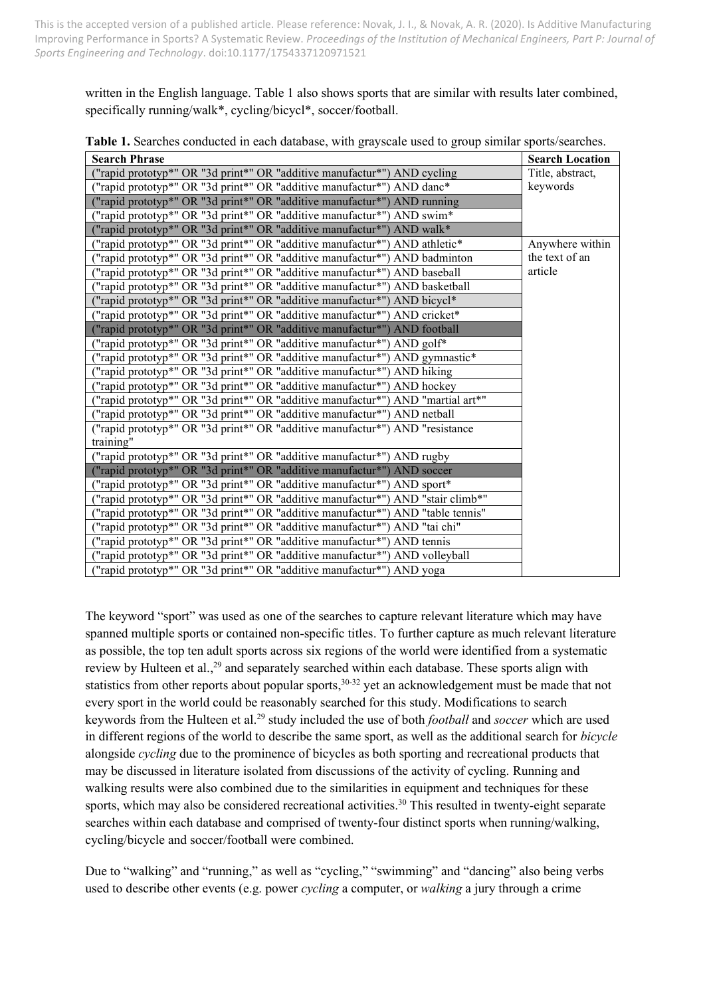written in the English language. Table 1 also shows sports that are similar with results later combined, specifically running/walk\*, cycling/bicycl\*, soccer/football.

| <b>Search Phrase</b>                                                            | <b>Search Location</b> |
|---------------------------------------------------------------------------------|------------------------|
| "rapid prototyp*" OR "3d print*" OR "additive manufactur*") AND cycling         | Title, abstract,       |
| ("rapid prototyp*" OR "3d print*" OR "additive manufactur*") AND danc*          | keywords               |
| "rapid prototyp*" OR "3d print*" OR "additive manufactur*") AND running         |                        |
| ("rapid prototyp*" OR "3d print*" OR "additive manufactur*") AND swim*          |                        |
| "rapid prototyp*" OR "3d print*" OR "additive manufactur*") AND walk*           |                        |
| ("rapid prototyp*" OR "3d print*" OR "additive manufactur*") AND athletic*      | Anywhere within        |
| ("rapid prototyp*" OR "3d print*" OR "additive manufactur*") AND badminton      | the text of an         |
| ("rapid prototyp*" OR "3d print*" OR "additive manufactur*") AND baseball       | article                |
| ("rapid prototyp*" OR "3d print*" OR "additive manufactur*") AND basketball     |                        |
| "rapid prototyp*" OR "3d print*" OR "additive manufactur*") AND bicycl*         |                        |
| ("rapid prototyp*" OR "3d print*" OR "additive manufactur*") AND cricket*       |                        |
| ("rapid prototyp*" OR "3d print*" OR "additive manufactur*") AND football       |                        |
| ("rapid prototyp*" OR "3d print*" OR "additive manufactur*") AND golf*          |                        |
| ("rapid prototyp*" OR "3d print*" OR "additive manufactur*") AND gymnastic*     |                        |
| ("rapid prototyp*" OR "3d print*" OR "additive manufactur*") AND hiking         |                        |
| ("rapid prototyp*" OR "3d print*" OR "additive manufactur*") AND hockey         |                        |
| ("rapid prototyp*" OR "3d print*" OR "additive manufactur*") AND "martial art*" |                        |
| "rapid prototyp*" OR "3d print*" OR "additive manufactur*") AND netball         |                        |
| ("rapid prototyp*" OR "3d print*" OR "additive manufactur*") AND "resistance    |                        |
| training"                                                                       |                        |
| ("rapid prototyp*" OR "3d print*" OR "additive manufactur*") AND rugby          |                        |
| ("rapid prototyp*" OR "3d print*" OR "additive manufactur*") AND soccer         |                        |
| ("rapid prototyp*" OR "3d print*" OR "additive manufactur*") AND sport*         |                        |
| ("rapid prototyp*" OR "3d print*" OR "additive manufactur*") AND "stair climb*" |                        |
| ("rapid prototyp*" OR "3d print*" OR "additive manufactur*") AND "table tennis" |                        |
| ("rapid prototyp*" OR "3d print*" OR "additive manufactur*") AND "tai chi"      |                        |
| ("rapid prototyp*" OR "3d print*" OR "additive manufactur*") AND tennis         |                        |
| ("rapid prototyp*" OR "3d print*" OR "additive manufactur*") AND volleyball     |                        |
| ("rapid prototyp*" OR "3d print*" OR "additive manufactur*") AND yoga           |                        |

**Table 1.** Searches conducted in each database, with grayscale used to group similar sports/searches.

The keyword "sport" was used as one of the searches to capture relevant literature which may have spanned multiple sports or contained non-specific titles. To further capture as much relevant literature as possible, the top ten adult sports across six regions of the world were identified from a systematic review by Hulteen et al.,<sup>29</sup> and separately searched within each database. These sports align with statistics from other reports about popular sports,<sup>30-32</sup> yet an acknowledgement must be made that not every sport in the world could be reasonably searched for this study. Modifications to search keywords from the Hulteen et al.<sup>29</sup> study included the use of both *football* and *soccer* which are used in different regions of the world to describe the same sport, as well as the additional search for *bicycle* alongside *cycling* due to the prominence of bicycles as both sporting and recreational products that may be discussed in literature isolated from discussions of the activity of cycling. Running and walking results were also combined due to the similarities in equipment and techniques for these sports, which may also be considered recreational activities.<sup>30</sup> This resulted in twenty-eight separate searches within each database and comprised of twenty-four distinct sports when running/walking, cycling/bicycle and soccer/football were combined.

Due to "walking" and "running," as well as "cycling," "swimming" and "dancing" also being verbs used to describe other events (e.g. power *cycling* a computer, or *walking* a jury through a crime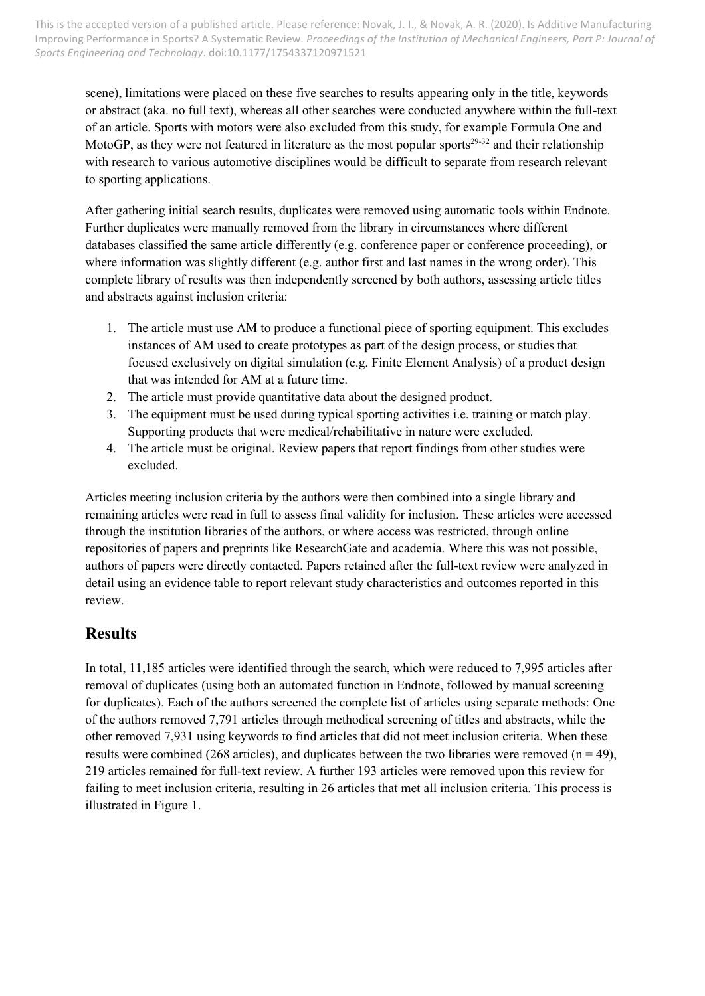scene), limitations were placed on these five searches to results appearing only in the title, keywords or abstract (aka. no full text), whereas all other searches were conducted anywhere within the full-text of an article. Sports with motors were also excluded from this study, for example Formula One and MotoGP, as they were not featured in literature as the most popular sports<sup>29-32</sup> and their relationship with research to various automotive disciplines would be difficult to separate from research relevant to sporting applications.

After gathering initial search results, duplicates were removed using automatic tools within Endnote. Further duplicates were manually removed from the library in circumstances where different databases classified the same article differently (e.g. conference paper or conference proceeding), or where information was slightly different (e.g. author first and last names in the wrong order). This complete library of results was then independently screened by both authors, assessing article titles and abstracts against inclusion criteria:

- 1. The article must use AM to produce a functional piece of sporting equipment. This excludes instances of AM used to create prototypes as part of the design process, or studies that focused exclusively on digital simulation (e.g. Finite Element Analysis) of a product design that was intended for AM at a future time.
- 2. The article must provide quantitative data about the designed product.
- 3. The equipment must be used during typical sporting activities i.e. training or match play. Supporting products that were medical/rehabilitative in nature were excluded.
- 4. The article must be original. Review papers that report findings from other studies were excluded.

Articles meeting inclusion criteria by the authors were then combined into a single library and remaining articles were read in full to assess final validity for inclusion. These articles were accessed through the institution libraries of the authors, or where access was restricted, through online repositories of papers and preprints like ResearchGate and academia. Where this was not possible, authors of papers were directly contacted. Papers retained after the full-text review were analyzed in detail using an evidence table to report relevant study characteristics and outcomes reported in this review.

# **Results**

In total, 11,185 articles were identified through the search, which were reduced to 7,995 articles after removal of duplicates (using both an automated function in Endnote, followed by manual screening for duplicates). Each of the authors screened the complete list of articles using separate methods: One of the authors removed 7,791 articles through methodical screening of titles and abstracts, while the other removed 7,931 using keywords to find articles that did not meet inclusion criteria. When these results were combined (268 articles), and duplicates between the two libraries were removed ( $n = 49$ ), 219 articles remained for full-text review. A further 193 articles were removed upon this review for failing to meet inclusion criteria, resulting in 26 articles that met all inclusion criteria. This process is illustrated in Figure 1.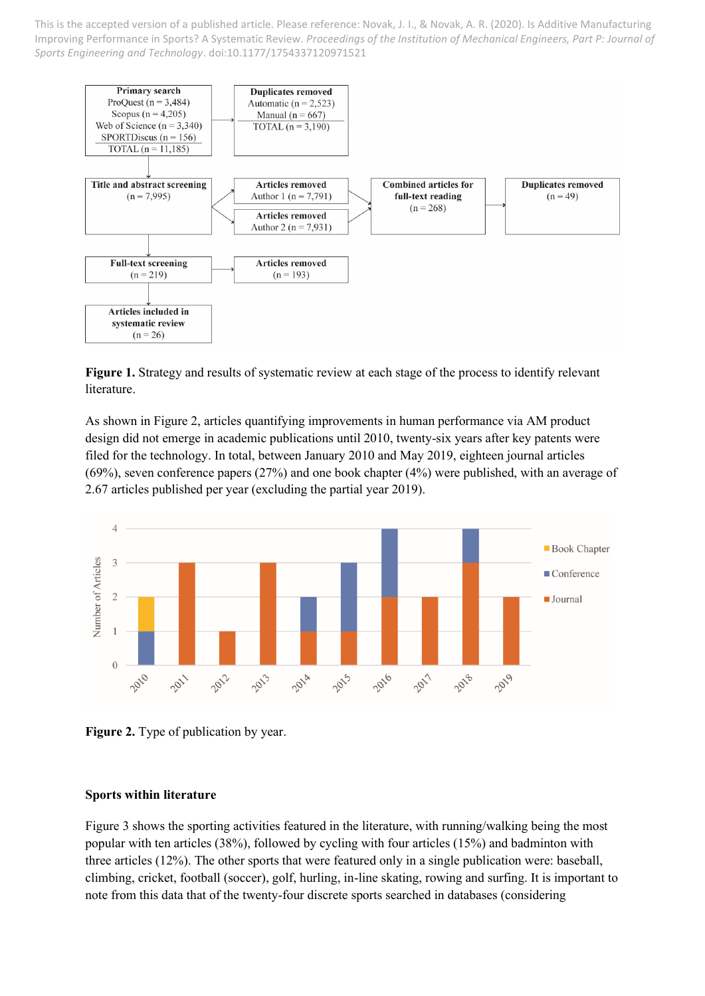

**Figure 1.** Strategy and results of systematic review at each stage of the process to identify relevant literature.

As shown in Figure 2, articles quantifying improvements in human performance via AM product design did not emerge in academic publications until 2010, twenty-six years after key patents were filed for the technology. In total, between January 2010 and May 2019, eighteen journal articles (69%), seven conference papers (27%) and one book chapter (4%) were published, with an average of 2.67 articles published per year (excluding the partial year 2019).



**Figure 2.** Type of publication by year.

#### **Sports within literature**

Figure 3 shows the sporting activities featured in the literature, with running/walking being the most popular with ten articles (38%), followed by cycling with four articles (15%) and badminton with three articles (12%). The other sports that were featured only in a single publication were: baseball, climbing, cricket, football (soccer), golf, hurling, in-line skating, rowing and surfing. It is important to note from this data that of the twenty-four discrete sports searched in databases (considering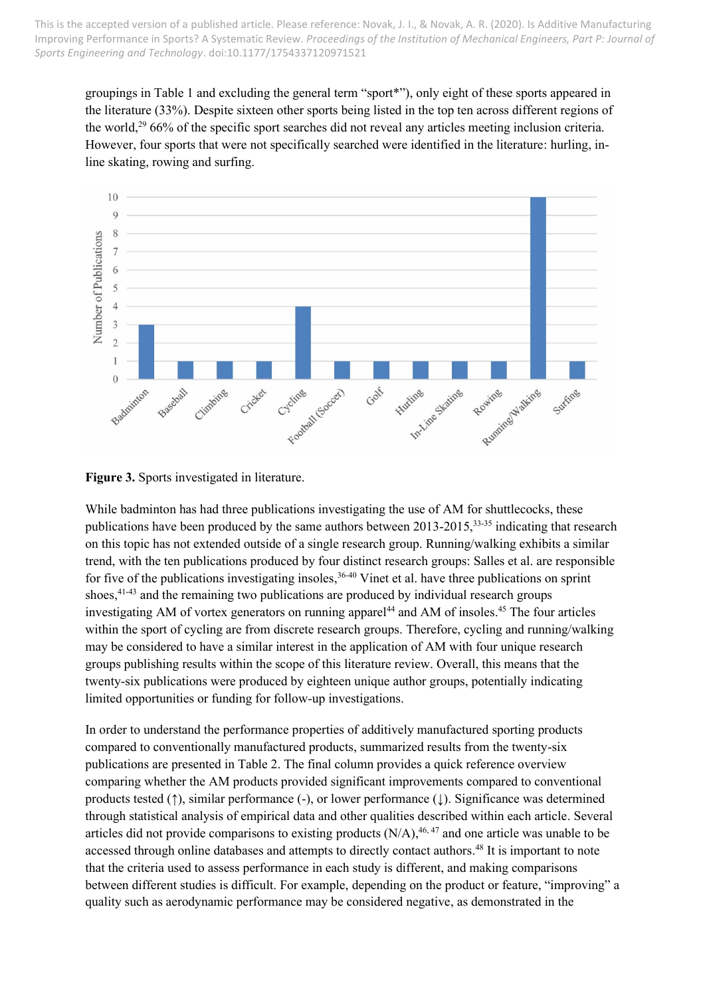groupings in Table 1 and excluding the general term "sport\*"), only eight of these sports appeared in the literature (33%). Despite sixteen other sports being listed in the top ten across different regions of the world,<sup>29</sup> 66% of the specific sport searches did not reveal any articles meeting inclusion criteria. However, four sports that were not specifically searched were identified in the literature: hurling, inline skating, rowing and surfing.



**Figure 3.** Sports investigated in literature.

While badminton has had three publications investigating the use of AM for shuttlecocks, these publications have been produced by the same authors between 2013-2015,<sup>33-35</sup> indicating that research on this topic has not extended outside of a single research group. Running/walking exhibits a similar trend, with the ten publications produced by four distinct research groups: Salles et al. are responsible for five of the publications investigating insoles,<sup>36-40</sup> Vinet et al. have three publications on sprint shoes, 41-43 and the remaining two publications are produced by individual research groups investigating AM of vortex generators on running apparel<sup>44</sup> and AM of insoles.<sup>45</sup> The four articles within the sport of cycling are from discrete research groups. Therefore, cycling and running/walking may be considered to have a similar interest in the application of AM with four unique research groups publishing results within the scope of this literature review. Overall, this means that the twenty-six publications were produced by eighteen unique author groups, potentially indicating limited opportunities or funding for follow-up investigations.

In order to understand the performance properties of additively manufactured sporting products compared to conventionally manufactured products, summarized results from the twenty-six publications are presented in Table 2. The final column provides a quick reference overview comparing whether the AM products provided significant improvements compared to conventional products tested (↑), similar performance (-), or lower performance (↓). Significance was determined through statistical analysis of empirical data and other qualities described within each article. Several articles did not provide comparisons to existing products  $(N/A)$ , <sup>46, 47</sup> and one article was unable to be accessed through online databases and attempts to directly contact authors.<sup>48</sup> It is important to note that the criteria used to assess performance in each study is different, and making comparisons between different studies is difficult. For example, depending on the product or feature, "improving" a quality such as aerodynamic performance may be considered negative, as demonstrated in the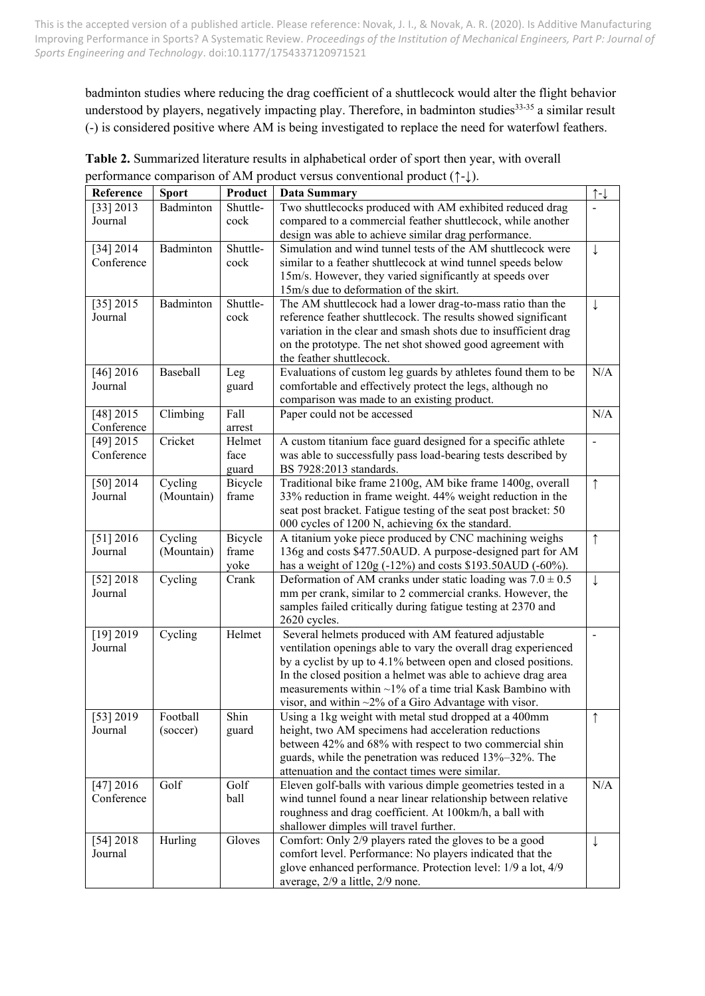badminton studies where reducing the drag coefficient of a shuttlecock would alter the flight behavior understood by players, negatively impacting play. Therefore, in badminton studies<sup>33-35</sup> a similar result (-) is considered positive where AM is being investigated to replace the need for waterfowl feathers.

| Reference   | <b>Sport</b> | Product  | <b>Data Summary</b>                                             | $\uparrow$ - $\downarrow$ |
|-------------|--------------|----------|-----------------------------------------------------------------|---------------------------|
| [33] 2013   | Badminton    | Shuttle- | Two shuttlecocks produced with AM exhibited reduced drag        |                           |
| Journal     |              | cock     | compared to a commercial feather shuttlecock, while another     |                           |
|             |              |          | design was able to achieve similar drag performance.            |                           |
| [34] 2014   | Badminton    | Shuttle- | Simulation and wind tunnel tests of the AM shuttlecock were     | $\downarrow$              |
| Conference  |              | cock     | similar to a feather shuttlecock at wind tunnel speeds below    |                           |
|             |              |          | 15m/s. However, they varied significantly at speeds over        |                           |
|             |              |          | 15m/s due to deformation of the skirt.                          |                           |
| [35] 2015   | Badminton    | Shuttle- | The AM shuttlecock had a lower drag-to-mass ratio than the      | ↓                         |
| Journal     |              | cock     | reference feather shuttlecock. The results showed significant   |                           |
|             |              |          | variation in the clear and smash shots due to insufficient drag |                           |
|             |              |          | on the prototype. The net shot showed good agreement with       |                           |
|             |              |          | the feather shuttlecock.                                        |                           |
| $[46]$ 2016 | Baseball     | Leg      | Evaluations of custom leg guards by athletes found them to be   | N/A                       |
| Journal     |              | guard    | comfortable and effectively protect the legs, although no       |                           |
|             |              |          | comparison was made to an existing product.                     |                           |
| [48] 2015   | Climbing     | Fall     | Paper could not be accessed                                     | N/A                       |
| Conference  |              | arrest   |                                                                 |                           |
| [49] 2015   | Cricket      | Helmet   | A custom titanium face guard designed for a specific athlete    |                           |
| Conference  |              | face     | was able to successfully pass load-bearing tests described by   |                           |
|             |              | guard    | BS 7928:2013 standards.                                         |                           |
| [50] 2014   | Cycling      | Bicycle  | Traditional bike frame 2100g, AM bike frame 1400g, overall      | $\uparrow$                |
| Journal     | (Mountain)   | frame    | 33% reduction in frame weight. 44% weight reduction in the      |                           |
|             |              |          | seat post bracket. Fatigue testing of the seat post bracket: 50 |                           |
|             |              |          | 000 cycles of 1200 N, achieving 6x the standard.                |                           |
| [51] 2016   | Cycling      | Bicycle  | A titanium yoke piece produced by CNC machining weighs          | $\uparrow$                |
| Journal     | (Mountain)   | frame    | 136g and costs \$477.50AUD. A purpose-designed part for AM      |                           |
|             |              | yoke     | has a weight of 120g (-12%) and costs \$193.50AUD (-60%).       |                           |
| [52] 2018   | Cycling      | Crank    | Deformation of AM cranks under static loading was $7.0 \pm 0.5$ | ↓                         |
| Journal     |              |          | mm per crank, similar to 2 commercial cranks. However, the      |                           |
|             |              |          | samples failed critically during fatigue testing at 2370 and    |                           |
|             |              |          | 2620 cycles.                                                    |                           |
| [19] 2019   | Cycling      | Helmet   | Several helmets produced with AM featured adjustable            |                           |
| Journal     |              |          | ventilation openings able to vary the overall drag experienced  |                           |
|             |              |          | by a cyclist by up to 4.1% between open and closed positions.   |                           |
|             |              |          | In the closed position a helmet was able to achieve drag area   |                           |
|             |              |          | measurements within $\sim$ 1% of a time trial Kask Bambino with |                           |
|             |              |          | visor, and within $\sim$ 2% of a Giro Advantage with visor.     |                           |
| [53] 2019   | Football     | Shin     | Using a 1kg weight with metal stud dropped at a 400mm           | $\uparrow$                |
| Journal     | (soccer)     | guard    | height, two AM specimens had acceleration reductions            |                           |
|             |              |          | between 42% and 68% with respect to two commercial shin         |                           |
|             |              |          | guards, while the penetration was reduced 13%-32%. The          |                           |
|             |              |          | attenuation and the contact times were similar.                 |                           |
| [47] 2016   | Golf         | Golf     | Eleven golf-balls with various dimple geometries tested in a    | N/A                       |
| Conference  |              | ball     | wind tunnel found a near linear relationship between relative   |                           |
|             |              |          | roughness and drag coefficient. At 100km/h, a ball with         |                           |
|             |              |          | shallower dimples will travel further.                          |                           |
| [54] 2018   | Hurling      | Gloves   | Comfort: Only 2/9 players rated the gloves to be a good         | ↓                         |
| Journal     |              |          | comfort level. Performance: No players indicated that the       |                           |
|             |              |          | glove enhanced performance. Protection level: 1/9 a lot, 4/9    |                           |
|             |              |          | average, 2/9 a little, 2/9 none.                                |                           |

**Table 2.** Summarized literature results in alphabetical order of sport then year, with overall performance comparison of AM product versus conventional product (↑-↓).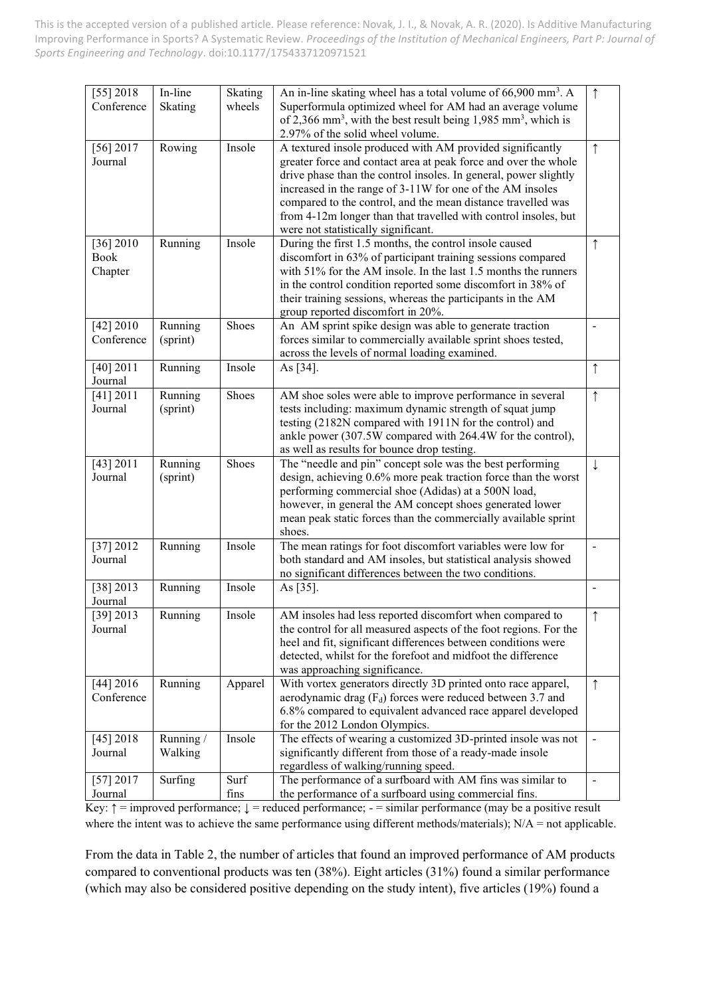| $[55]$ 2018             | In-line                                                                        | Skating | An in-line skating wheel has a total volume of 66,900 mm <sup>3</sup> . A                                                  | $\uparrow$               |
|-------------------------|--------------------------------------------------------------------------------|---------|----------------------------------------------------------------------------------------------------------------------------|--------------------------|
| Conference              | Superformula optimized wheel for AM had an average volume<br>Skating<br>wheels |         |                                                                                                                            |                          |
|                         |                                                                                |         | of 2,366 mm <sup>3</sup> , with the best result being $1,985$ mm <sup>3</sup> , which is                                   |                          |
| [56] 2017               | Rowing                                                                         | Insole  | 2.97% of the solid wheel volume.<br>A textured insole produced with AM provided significantly                              | $\uparrow$               |
| Journal                 |                                                                                |         | greater force and contact area at peak force and over the whole                                                            |                          |
|                         |                                                                                |         | drive phase than the control insoles. In general, power slightly                                                           |                          |
|                         |                                                                                |         | increased in the range of 3-11W for one of the AM insoles                                                                  |                          |
|                         |                                                                                |         | compared to the control, and the mean distance travelled was                                                               |                          |
|                         |                                                                                |         | from 4-12m longer than that travelled with control insoles, but                                                            |                          |
|                         |                                                                                |         | were not statistically significant.                                                                                        |                          |
| [36] 2010               | Running                                                                        | Insole  | During the first 1.5 months, the control insole caused                                                                     | $\uparrow$               |
| Book                    |                                                                                |         | discomfort in 63% of participant training sessions compared                                                                |                          |
| Chapter                 |                                                                                |         | with 51% for the AM insole. In the last 1.5 months the runners                                                             |                          |
|                         |                                                                                |         | in the control condition reported some discomfort in 38% of                                                                |                          |
|                         |                                                                                |         | their training sessions, whereas the participants in the AM                                                                |                          |
|                         |                                                                                |         | group reported discomfort in 20%.                                                                                          |                          |
| [42] 2010<br>Conference | Running<br>(sprint)                                                            | Shoes   | An AM sprint spike design was able to generate traction<br>forces similar to commercially available sprint shoes tested,   | $\overline{\phantom{a}}$ |
|                         |                                                                                |         | across the levels of normal loading examined.                                                                              |                          |
| [40] 2011               | Running                                                                        | Insole  | As [34].                                                                                                                   | ↑                        |
| Journal                 |                                                                                |         |                                                                                                                            |                          |
| [41] 2011               | Running                                                                        | Shoes   | AM shoe soles were able to improve performance in several                                                                  | $\uparrow$               |
| Journal                 | (sprint)                                                                       |         | tests including: maximum dynamic strength of squat jump                                                                    |                          |
|                         |                                                                                |         | testing (2182N compared with 1911N for the control) and                                                                    |                          |
|                         |                                                                                |         | ankle power (307.5W compared with 264.4W for the control),                                                                 |                          |
|                         |                                                                                |         | as well as results for bounce drop testing.                                                                                |                          |
| [43] 2011               | Running                                                                        | Shoes   | The "needle and pin" concept sole was the best performing                                                                  | $\downarrow$             |
| Journal                 | (sprint)                                                                       |         | design, achieving 0.6% more peak traction force than the worst                                                             |                          |
|                         |                                                                                |         | performing commercial shoe (Adidas) at a 500N load,                                                                        |                          |
|                         |                                                                                |         | however, in general the AM concept shoes generated lower<br>mean peak static forces than the commercially available sprint |                          |
|                         |                                                                                |         | shoes.                                                                                                                     |                          |
| [37] 2012               | Running                                                                        | Insole  | The mean ratings for foot discomfort variables were low for                                                                | $\blacksquare$           |
| Journal                 |                                                                                |         | both standard and AM insoles, but statistical analysis showed                                                              |                          |
|                         |                                                                                |         | no significant differences between the two conditions.                                                                     |                          |
| $[38]$ 2013             | Running                                                                        | Insole  | As [35].                                                                                                                   | $\overline{a}$           |
| Journal                 |                                                                                |         |                                                                                                                            |                          |
| [39] 2013               | Running                                                                        | Insole  | AM insoles had less reported discomfort when compared to                                                                   |                          |
| Journal                 |                                                                                |         | the control for all measured aspects of the foot regions. For the                                                          |                          |
|                         |                                                                                |         | heel and fit, significant differences between conditions were                                                              |                          |
|                         |                                                                                |         | detected, whilst for the forefoot and midfoot the difference<br>was approaching significance.                              |                          |
| [44] 2016               | Running                                                                        | Apparel | With vortex generators directly 3D printed onto race apparel,                                                              | $\uparrow$               |
| Conference              |                                                                                |         | aerodynamic drag $(F_d)$ forces were reduced between 3.7 and                                                               |                          |
|                         |                                                                                |         | 6.8% compared to equivalent advanced race apparel developed                                                                |                          |
|                         |                                                                                |         | for the 2012 London Olympics.                                                                                              |                          |
| [45] 2018               | Running /                                                                      | Insole  | The effects of wearing a customized 3D-printed insole was not                                                              |                          |
| Journal                 | Walking                                                                        |         | significantly different from those of a ready-made insole                                                                  |                          |
|                         |                                                                                |         | regardless of walking/running speed.                                                                                       |                          |
| [57] 2017               | Surfing                                                                        | Surf    | The performance of a surfboard with AM fins was similar to                                                                 | $\blacksquare$           |
| Journal                 |                                                                                | fins    | the performance of a surfboard using commercial fins.                                                                      |                          |

Key:  $\uparrow$  = improved performance;  $\downarrow$  = reduced performance; - = similar performance (may be a positive result where the intent was to achieve the same performance using different methods/materials); N/A = not applicable.

From the data in Table 2, the number of articles that found an improved performance of AM products compared to conventional products was ten (38%). Eight articles (31%) found a similar performance (which may also be considered positive depending on the study intent), five articles (19%) found a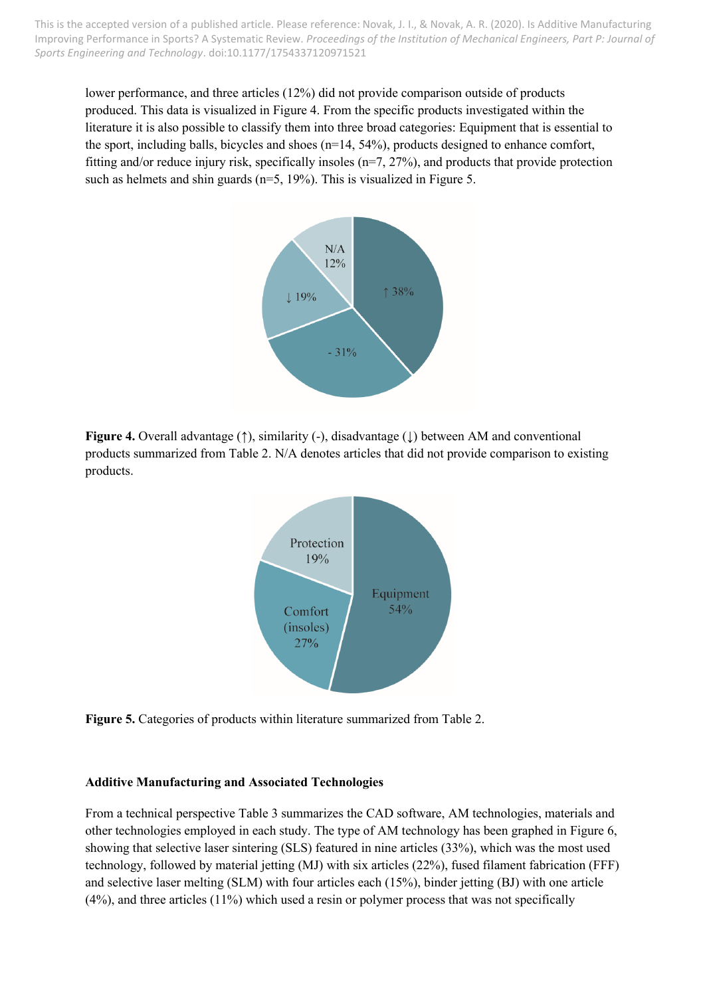lower performance, and three articles (12%) did not provide comparison outside of products produced. This data is visualized in Figure 4. From the specific products investigated within the literature it is also possible to classify them into three broad categories: Equipment that is essential to the sport, including balls, bicycles and shoes (n=14, 54%), products designed to enhance comfort, fitting and/or reduce injury risk, specifically insoles (n=7, 27%), and products that provide protection such as helmets and shin guards ( $n=5$ , 19%). This is visualized in Figure 5.



**Figure 4.** Overall advantage (↑), similarity (-), disadvantage (↓) between AM and conventional products summarized from Table 2. N/A denotes articles that did not provide comparison to existing products.



**Figure 5.** Categories of products within literature summarized from Table 2.

#### **Additive Manufacturing and Associated Technologies**

From a technical perspective Table 3 summarizes the CAD software, AM technologies, materials and other technologies employed in each study. The type of AM technology has been graphed in Figure 6, showing that selective laser sintering (SLS) featured in nine articles (33%), which was the most used technology, followed by material jetting (MJ) with six articles (22%), fused filament fabrication (FFF) and selective laser melting (SLM) with four articles each (15%), binder jetting (BJ) with one article (4%), and three articles (11%) which used a resin or polymer process that was not specifically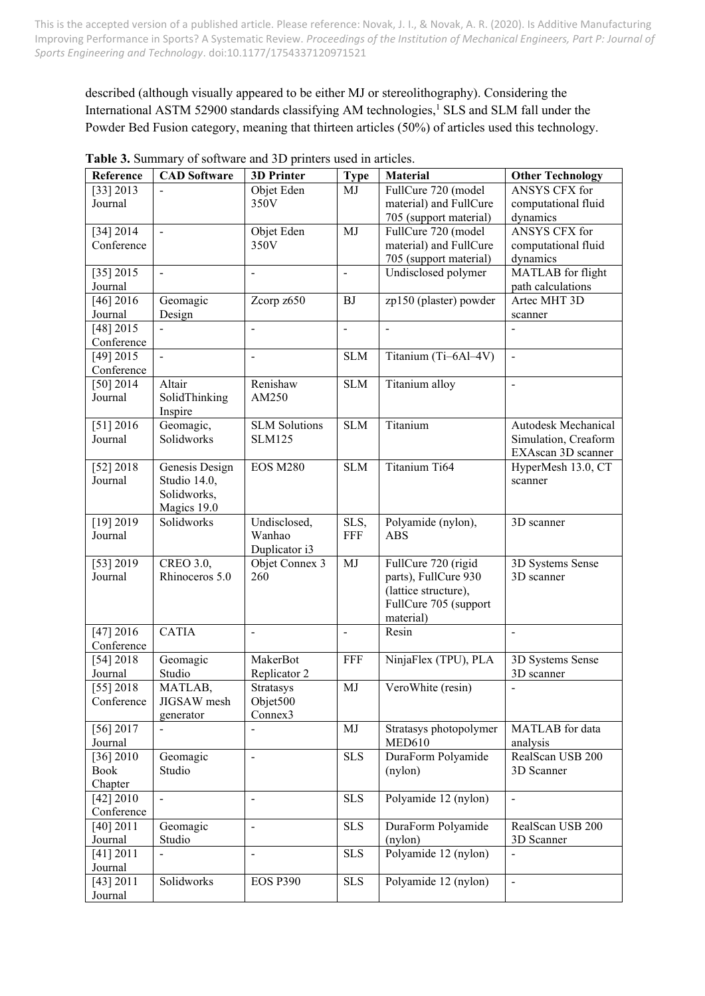described (although visually appeared to be either MJ or stereolithography). Considering the International ASTM 52900 standards classifying AM technologies, <sup>1</sup> SLS and SLM fall under the Powder Bed Fusion category, meaning that thirteen articles (50%) of articles used this technology.

| ANSYS CFX for<br>[33] 2013<br>Objet Eden<br>FullCure 720 (model<br>MJ<br>350V<br>material) and FullCure<br>computational fluid<br>Journal<br>dynamics<br>705 (support material)<br>Objet Eden<br>ANSYS CFX for<br>[34] 2014<br>MJ<br>FullCure 720 (model<br>$\overline{\phantom{a}}$<br>Conference<br>350V<br>material) and FullCure<br>computational fluid<br>705 (support material)<br>dynamics<br>MATLAB for flight<br>[35] 2015<br>Undisclosed polymer<br>$\blacksquare$<br>$\overline{a}$<br>$\overline{\phantom{a}}$<br>Journal<br>path calculations<br>$[46]$ 2016<br>zp150 (plaster) powder<br>Geomagic<br>Zcorp z650<br>Artec MHT 3D<br>BJ<br>Journal<br>Design<br>scanner<br>$[48]$ 2015<br>$\frac{1}{2}$<br>$\frac{1}{2}$<br>$\overline{a}$<br>Conference<br>$[49]$ 2015<br>Titanium (Ti-6Al-4V)<br><b>SLM</b><br>$\blacksquare$<br>$\frac{1}{2}$<br>$\blacksquare$<br>Conference<br>Renishaw<br>[50] 2014<br><b>SLM</b><br>Titanium alloy<br>Altair<br>$\overline{a}$<br>Journal<br>SolidThinking<br>AM250<br>Inspire<br>Geomagic,<br>Titanium<br>[51] 2016<br><b>SLM Solutions</b><br><b>SLM</b><br>Autodesk Mechanical<br>Solidworks<br>Simulation, Creaform<br>Journal<br><b>SLM125</b><br>EXAscan 3D scanner<br>Titanium Ti64<br>[52] 2018<br>Genesis Design<br><b>SLM</b><br>HyperMesh 13.0, CT<br><b>EOS M280</b><br>Journal<br>Studio 14.0,<br>scanner<br>Solidworks,<br>Magics 19.0<br>[19] 2019<br>Solidworks<br>Undisclosed,<br>SLS,<br>Polyamide (nylon),<br>3D scanner<br>FFF<br>Journal<br>Wanhao<br><b>ABS</b><br>Duplicator i3<br>[53] 2019<br>CREO 3.0,<br>Objet Connex 3<br>FullCure 720 (rigid<br>3D Systems Sense<br>MJ<br>Journal<br>Rhinoceros 5.0<br>parts), FullCure 930<br>260<br>3D scanner<br>(lattice structure),<br>FullCure 705 (support<br>material)<br><b>CATIA</b><br>[47] 2016<br>Resin<br>$\blacksquare$<br>$\overline{a}$<br>$\blacksquare$<br>Conference<br>[54] $2018$<br>Geomagic<br>NinjaFlex (TPU), PLA<br>MakerBot<br>FFF<br>3D Systems Sense<br>Journal<br>Studio<br>Replicator 2<br>3D scanner<br>[55] 2018<br>MATLAB,<br>MJ<br>VeroWhite (resin)<br>Stratasys<br>$\overline{a}$<br>Objet500<br>JIGSAW mesh<br>Conference<br>Connex3<br>generator<br>[56] 2017<br>MJ<br>MATLAB for data<br>Stratasys photopolymer<br><b>MED610</b><br>Journal<br>analysis<br>DuraForm Polyamide<br>$[36]$ 2010<br><b>SLS</b><br>RealScan USB 200<br>Geomagic<br>$\overline{a}$<br><b>Book</b><br>Studio<br>(nylon)<br>3D Scanner<br>Chapter<br>Polyamide 12 (nylon)<br>[42] 2010<br><b>SLS</b><br>$\blacksquare$<br>$\blacksquare$<br>$\overline{\phantom{a}}$<br>Conference<br>[40] 2011<br><b>SLS</b><br>DuraForm Polyamide<br>RealScan USB 200<br>Geomagic<br>$\frac{1}{2}$ |         |  |  |  |
|-----------------------------------------------------------------------------------------------------------------------------------------------------------------------------------------------------------------------------------------------------------------------------------------------------------------------------------------------------------------------------------------------------------------------------------------------------------------------------------------------------------------------------------------------------------------------------------------------------------------------------------------------------------------------------------------------------------------------------------------------------------------------------------------------------------------------------------------------------------------------------------------------------------------------------------------------------------------------------------------------------------------------------------------------------------------------------------------------------------------------------------------------------------------------------------------------------------------------------------------------------------------------------------------------------------------------------------------------------------------------------------------------------------------------------------------------------------------------------------------------------------------------------------------------------------------------------------------------------------------------------------------------------------------------------------------------------------------------------------------------------------------------------------------------------------------------------------------------------------------------------------------------------------------------------------------------------------------------------------------------------------------------------------------------------------------------------------------------------------------------------------------------------------------------------------------------------------------------------------------------------------------------------------------------------------------------------------------------------------------------------------------------------------------------------------------------------------------------------------------------------------------------------------------------------------------------------------------------------------------------------------------------------------------------------------------------------------------------|---------|--|--|--|
|                                                                                                                                                                                                                                                                                                                                                                                                                                                                                                                                                                                                                                                                                                                                                                                                                                                                                                                                                                                                                                                                                                                                                                                                                                                                                                                                                                                                                                                                                                                                                                                                                                                                                                                                                                                                                                                                                                                                                                                                                                                                                                                                                                                                                                                                                                                                                                                                                                                                                                                                                                                                                                                                                                                       |         |  |  |  |
|                                                                                                                                                                                                                                                                                                                                                                                                                                                                                                                                                                                                                                                                                                                                                                                                                                                                                                                                                                                                                                                                                                                                                                                                                                                                                                                                                                                                                                                                                                                                                                                                                                                                                                                                                                                                                                                                                                                                                                                                                                                                                                                                                                                                                                                                                                                                                                                                                                                                                                                                                                                                                                                                                                                       |         |  |  |  |
|                                                                                                                                                                                                                                                                                                                                                                                                                                                                                                                                                                                                                                                                                                                                                                                                                                                                                                                                                                                                                                                                                                                                                                                                                                                                                                                                                                                                                                                                                                                                                                                                                                                                                                                                                                                                                                                                                                                                                                                                                                                                                                                                                                                                                                                                                                                                                                                                                                                                                                                                                                                                                                                                                                                       |         |  |  |  |
|                                                                                                                                                                                                                                                                                                                                                                                                                                                                                                                                                                                                                                                                                                                                                                                                                                                                                                                                                                                                                                                                                                                                                                                                                                                                                                                                                                                                                                                                                                                                                                                                                                                                                                                                                                                                                                                                                                                                                                                                                                                                                                                                                                                                                                                                                                                                                                                                                                                                                                                                                                                                                                                                                                                       |         |  |  |  |
|                                                                                                                                                                                                                                                                                                                                                                                                                                                                                                                                                                                                                                                                                                                                                                                                                                                                                                                                                                                                                                                                                                                                                                                                                                                                                                                                                                                                                                                                                                                                                                                                                                                                                                                                                                                                                                                                                                                                                                                                                                                                                                                                                                                                                                                                                                                                                                                                                                                                                                                                                                                                                                                                                                                       |         |  |  |  |
|                                                                                                                                                                                                                                                                                                                                                                                                                                                                                                                                                                                                                                                                                                                                                                                                                                                                                                                                                                                                                                                                                                                                                                                                                                                                                                                                                                                                                                                                                                                                                                                                                                                                                                                                                                                                                                                                                                                                                                                                                                                                                                                                                                                                                                                                                                                                                                                                                                                                                                                                                                                                                                                                                                                       |         |  |  |  |
|                                                                                                                                                                                                                                                                                                                                                                                                                                                                                                                                                                                                                                                                                                                                                                                                                                                                                                                                                                                                                                                                                                                                                                                                                                                                                                                                                                                                                                                                                                                                                                                                                                                                                                                                                                                                                                                                                                                                                                                                                                                                                                                                                                                                                                                                                                                                                                                                                                                                                                                                                                                                                                                                                                                       |         |  |  |  |
|                                                                                                                                                                                                                                                                                                                                                                                                                                                                                                                                                                                                                                                                                                                                                                                                                                                                                                                                                                                                                                                                                                                                                                                                                                                                                                                                                                                                                                                                                                                                                                                                                                                                                                                                                                                                                                                                                                                                                                                                                                                                                                                                                                                                                                                                                                                                                                                                                                                                                                                                                                                                                                                                                                                       |         |  |  |  |
|                                                                                                                                                                                                                                                                                                                                                                                                                                                                                                                                                                                                                                                                                                                                                                                                                                                                                                                                                                                                                                                                                                                                                                                                                                                                                                                                                                                                                                                                                                                                                                                                                                                                                                                                                                                                                                                                                                                                                                                                                                                                                                                                                                                                                                                                                                                                                                                                                                                                                                                                                                                                                                                                                                                       |         |  |  |  |
|                                                                                                                                                                                                                                                                                                                                                                                                                                                                                                                                                                                                                                                                                                                                                                                                                                                                                                                                                                                                                                                                                                                                                                                                                                                                                                                                                                                                                                                                                                                                                                                                                                                                                                                                                                                                                                                                                                                                                                                                                                                                                                                                                                                                                                                                                                                                                                                                                                                                                                                                                                                                                                                                                                                       |         |  |  |  |
|                                                                                                                                                                                                                                                                                                                                                                                                                                                                                                                                                                                                                                                                                                                                                                                                                                                                                                                                                                                                                                                                                                                                                                                                                                                                                                                                                                                                                                                                                                                                                                                                                                                                                                                                                                                                                                                                                                                                                                                                                                                                                                                                                                                                                                                                                                                                                                                                                                                                                                                                                                                                                                                                                                                       |         |  |  |  |
|                                                                                                                                                                                                                                                                                                                                                                                                                                                                                                                                                                                                                                                                                                                                                                                                                                                                                                                                                                                                                                                                                                                                                                                                                                                                                                                                                                                                                                                                                                                                                                                                                                                                                                                                                                                                                                                                                                                                                                                                                                                                                                                                                                                                                                                                                                                                                                                                                                                                                                                                                                                                                                                                                                                       |         |  |  |  |
|                                                                                                                                                                                                                                                                                                                                                                                                                                                                                                                                                                                                                                                                                                                                                                                                                                                                                                                                                                                                                                                                                                                                                                                                                                                                                                                                                                                                                                                                                                                                                                                                                                                                                                                                                                                                                                                                                                                                                                                                                                                                                                                                                                                                                                                                                                                                                                                                                                                                                                                                                                                                                                                                                                                       |         |  |  |  |
|                                                                                                                                                                                                                                                                                                                                                                                                                                                                                                                                                                                                                                                                                                                                                                                                                                                                                                                                                                                                                                                                                                                                                                                                                                                                                                                                                                                                                                                                                                                                                                                                                                                                                                                                                                                                                                                                                                                                                                                                                                                                                                                                                                                                                                                                                                                                                                                                                                                                                                                                                                                                                                                                                                                       |         |  |  |  |
|                                                                                                                                                                                                                                                                                                                                                                                                                                                                                                                                                                                                                                                                                                                                                                                                                                                                                                                                                                                                                                                                                                                                                                                                                                                                                                                                                                                                                                                                                                                                                                                                                                                                                                                                                                                                                                                                                                                                                                                                                                                                                                                                                                                                                                                                                                                                                                                                                                                                                                                                                                                                                                                                                                                       |         |  |  |  |
|                                                                                                                                                                                                                                                                                                                                                                                                                                                                                                                                                                                                                                                                                                                                                                                                                                                                                                                                                                                                                                                                                                                                                                                                                                                                                                                                                                                                                                                                                                                                                                                                                                                                                                                                                                                                                                                                                                                                                                                                                                                                                                                                                                                                                                                                                                                                                                                                                                                                                                                                                                                                                                                                                                                       |         |  |  |  |
|                                                                                                                                                                                                                                                                                                                                                                                                                                                                                                                                                                                                                                                                                                                                                                                                                                                                                                                                                                                                                                                                                                                                                                                                                                                                                                                                                                                                                                                                                                                                                                                                                                                                                                                                                                                                                                                                                                                                                                                                                                                                                                                                                                                                                                                                                                                                                                                                                                                                                                                                                                                                                                                                                                                       |         |  |  |  |
|                                                                                                                                                                                                                                                                                                                                                                                                                                                                                                                                                                                                                                                                                                                                                                                                                                                                                                                                                                                                                                                                                                                                                                                                                                                                                                                                                                                                                                                                                                                                                                                                                                                                                                                                                                                                                                                                                                                                                                                                                                                                                                                                                                                                                                                                                                                                                                                                                                                                                                                                                                                                                                                                                                                       |         |  |  |  |
|                                                                                                                                                                                                                                                                                                                                                                                                                                                                                                                                                                                                                                                                                                                                                                                                                                                                                                                                                                                                                                                                                                                                                                                                                                                                                                                                                                                                                                                                                                                                                                                                                                                                                                                                                                                                                                                                                                                                                                                                                                                                                                                                                                                                                                                                                                                                                                                                                                                                                                                                                                                                                                                                                                                       |         |  |  |  |
|                                                                                                                                                                                                                                                                                                                                                                                                                                                                                                                                                                                                                                                                                                                                                                                                                                                                                                                                                                                                                                                                                                                                                                                                                                                                                                                                                                                                                                                                                                                                                                                                                                                                                                                                                                                                                                                                                                                                                                                                                                                                                                                                                                                                                                                                                                                                                                                                                                                                                                                                                                                                                                                                                                                       |         |  |  |  |
|                                                                                                                                                                                                                                                                                                                                                                                                                                                                                                                                                                                                                                                                                                                                                                                                                                                                                                                                                                                                                                                                                                                                                                                                                                                                                                                                                                                                                                                                                                                                                                                                                                                                                                                                                                                                                                                                                                                                                                                                                                                                                                                                                                                                                                                                                                                                                                                                                                                                                                                                                                                                                                                                                                                       |         |  |  |  |
|                                                                                                                                                                                                                                                                                                                                                                                                                                                                                                                                                                                                                                                                                                                                                                                                                                                                                                                                                                                                                                                                                                                                                                                                                                                                                                                                                                                                                                                                                                                                                                                                                                                                                                                                                                                                                                                                                                                                                                                                                                                                                                                                                                                                                                                                                                                                                                                                                                                                                                                                                                                                                                                                                                                       |         |  |  |  |
|                                                                                                                                                                                                                                                                                                                                                                                                                                                                                                                                                                                                                                                                                                                                                                                                                                                                                                                                                                                                                                                                                                                                                                                                                                                                                                                                                                                                                                                                                                                                                                                                                                                                                                                                                                                                                                                                                                                                                                                                                                                                                                                                                                                                                                                                                                                                                                                                                                                                                                                                                                                                                                                                                                                       |         |  |  |  |
|                                                                                                                                                                                                                                                                                                                                                                                                                                                                                                                                                                                                                                                                                                                                                                                                                                                                                                                                                                                                                                                                                                                                                                                                                                                                                                                                                                                                                                                                                                                                                                                                                                                                                                                                                                                                                                                                                                                                                                                                                                                                                                                                                                                                                                                                                                                                                                                                                                                                                                                                                                                                                                                                                                                       |         |  |  |  |
|                                                                                                                                                                                                                                                                                                                                                                                                                                                                                                                                                                                                                                                                                                                                                                                                                                                                                                                                                                                                                                                                                                                                                                                                                                                                                                                                                                                                                                                                                                                                                                                                                                                                                                                                                                                                                                                                                                                                                                                                                                                                                                                                                                                                                                                                                                                                                                                                                                                                                                                                                                                                                                                                                                                       |         |  |  |  |
|                                                                                                                                                                                                                                                                                                                                                                                                                                                                                                                                                                                                                                                                                                                                                                                                                                                                                                                                                                                                                                                                                                                                                                                                                                                                                                                                                                                                                                                                                                                                                                                                                                                                                                                                                                                                                                                                                                                                                                                                                                                                                                                                                                                                                                                                                                                                                                                                                                                                                                                                                                                                                                                                                                                       |         |  |  |  |
|                                                                                                                                                                                                                                                                                                                                                                                                                                                                                                                                                                                                                                                                                                                                                                                                                                                                                                                                                                                                                                                                                                                                                                                                                                                                                                                                                                                                                                                                                                                                                                                                                                                                                                                                                                                                                                                                                                                                                                                                                                                                                                                                                                                                                                                                                                                                                                                                                                                                                                                                                                                                                                                                                                                       |         |  |  |  |
|                                                                                                                                                                                                                                                                                                                                                                                                                                                                                                                                                                                                                                                                                                                                                                                                                                                                                                                                                                                                                                                                                                                                                                                                                                                                                                                                                                                                                                                                                                                                                                                                                                                                                                                                                                                                                                                                                                                                                                                                                                                                                                                                                                                                                                                                                                                                                                                                                                                                                                                                                                                                                                                                                                                       |         |  |  |  |
|                                                                                                                                                                                                                                                                                                                                                                                                                                                                                                                                                                                                                                                                                                                                                                                                                                                                                                                                                                                                                                                                                                                                                                                                                                                                                                                                                                                                                                                                                                                                                                                                                                                                                                                                                                                                                                                                                                                                                                                                                                                                                                                                                                                                                                                                                                                                                                                                                                                                                                                                                                                                                                                                                                                       |         |  |  |  |
|                                                                                                                                                                                                                                                                                                                                                                                                                                                                                                                                                                                                                                                                                                                                                                                                                                                                                                                                                                                                                                                                                                                                                                                                                                                                                                                                                                                                                                                                                                                                                                                                                                                                                                                                                                                                                                                                                                                                                                                                                                                                                                                                                                                                                                                                                                                                                                                                                                                                                                                                                                                                                                                                                                                       |         |  |  |  |
|                                                                                                                                                                                                                                                                                                                                                                                                                                                                                                                                                                                                                                                                                                                                                                                                                                                                                                                                                                                                                                                                                                                                                                                                                                                                                                                                                                                                                                                                                                                                                                                                                                                                                                                                                                                                                                                                                                                                                                                                                                                                                                                                                                                                                                                                                                                                                                                                                                                                                                                                                                                                                                                                                                                       |         |  |  |  |
|                                                                                                                                                                                                                                                                                                                                                                                                                                                                                                                                                                                                                                                                                                                                                                                                                                                                                                                                                                                                                                                                                                                                                                                                                                                                                                                                                                                                                                                                                                                                                                                                                                                                                                                                                                                                                                                                                                                                                                                                                                                                                                                                                                                                                                                                                                                                                                                                                                                                                                                                                                                                                                                                                                                       |         |  |  |  |
|                                                                                                                                                                                                                                                                                                                                                                                                                                                                                                                                                                                                                                                                                                                                                                                                                                                                                                                                                                                                                                                                                                                                                                                                                                                                                                                                                                                                                                                                                                                                                                                                                                                                                                                                                                                                                                                                                                                                                                                                                                                                                                                                                                                                                                                                                                                                                                                                                                                                                                                                                                                                                                                                                                                       |         |  |  |  |
|                                                                                                                                                                                                                                                                                                                                                                                                                                                                                                                                                                                                                                                                                                                                                                                                                                                                                                                                                                                                                                                                                                                                                                                                                                                                                                                                                                                                                                                                                                                                                                                                                                                                                                                                                                                                                                                                                                                                                                                                                                                                                                                                                                                                                                                                                                                                                                                                                                                                                                                                                                                                                                                                                                                       |         |  |  |  |
|                                                                                                                                                                                                                                                                                                                                                                                                                                                                                                                                                                                                                                                                                                                                                                                                                                                                                                                                                                                                                                                                                                                                                                                                                                                                                                                                                                                                                                                                                                                                                                                                                                                                                                                                                                                                                                                                                                                                                                                                                                                                                                                                                                                                                                                                                                                                                                                                                                                                                                                                                                                                                                                                                                                       |         |  |  |  |
|                                                                                                                                                                                                                                                                                                                                                                                                                                                                                                                                                                                                                                                                                                                                                                                                                                                                                                                                                                                                                                                                                                                                                                                                                                                                                                                                                                                                                                                                                                                                                                                                                                                                                                                                                                                                                                                                                                                                                                                                                                                                                                                                                                                                                                                                                                                                                                                                                                                                                                                                                                                                                                                                                                                       |         |  |  |  |
|                                                                                                                                                                                                                                                                                                                                                                                                                                                                                                                                                                                                                                                                                                                                                                                                                                                                                                                                                                                                                                                                                                                                                                                                                                                                                                                                                                                                                                                                                                                                                                                                                                                                                                                                                                                                                                                                                                                                                                                                                                                                                                                                                                                                                                                                                                                                                                                                                                                                                                                                                                                                                                                                                                                       |         |  |  |  |
|                                                                                                                                                                                                                                                                                                                                                                                                                                                                                                                                                                                                                                                                                                                                                                                                                                                                                                                                                                                                                                                                                                                                                                                                                                                                                                                                                                                                                                                                                                                                                                                                                                                                                                                                                                                                                                                                                                                                                                                                                                                                                                                                                                                                                                                                                                                                                                                                                                                                                                                                                                                                                                                                                                                       |         |  |  |  |
|                                                                                                                                                                                                                                                                                                                                                                                                                                                                                                                                                                                                                                                                                                                                                                                                                                                                                                                                                                                                                                                                                                                                                                                                                                                                                                                                                                                                                                                                                                                                                                                                                                                                                                                                                                                                                                                                                                                                                                                                                                                                                                                                                                                                                                                                                                                                                                                                                                                                                                                                                                                                                                                                                                                       |         |  |  |  |
|                                                                                                                                                                                                                                                                                                                                                                                                                                                                                                                                                                                                                                                                                                                                                                                                                                                                                                                                                                                                                                                                                                                                                                                                                                                                                                                                                                                                                                                                                                                                                                                                                                                                                                                                                                                                                                                                                                                                                                                                                                                                                                                                                                                                                                                                                                                                                                                                                                                                                                                                                                                                                                                                                                                       |         |  |  |  |
|                                                                                                                                                                                                                                                                                                                                                                                                                                                                                                                                                                                                                                                                                                                                                                                                                                                                                                                                                                                                                                                                                                                                                                                                                                                                                                                                                                                                                                                                                                                                                                                                                                                                                                                                                                                                                                                                                                                                                                                                                                                                                                                                                                                                                                                                                                                                                                                                                                                                                                                                                                                                                                                                                                                       |         |  |  |  |
|                                                                                                                                                                                                                                                                                                                                                                                                                                                                                                                                                                                                                                                                                                                                                                                                                                                                                                                                                                                                                                                                                                                                                                                                                                                                                                                                                                                                                                                                                                                                                                                                                                                                                                                                                                                                                                                                                                                                                                                                                                                                                                                                                                                                                                                                                                                                                                                                                                                                                                                                                                                                                                                                                                                       |         |  |  |  |
|                                                                                                                                                                                                                                                                                                                                                                                                                                                                                                                                                                                                                                                                                                                                                                                                                                                                                                                                                                                                                                                                                                                                                                                                                                                                                                                                                                                                                                                                                                                                                                                                                                                                                                                                                                                                                                                                                                                                                                                                                                                                                                                                                                                                                                                                                                                                                                                                                                                                                                                                                                                                                                                                                                                       |         |  |  |  |
|                                                                                                                                                                                                                                                                                                                                                                                                                                                                                                                                                                                                                                                                                                                                                                                                                                                                                                                                                                                                                                                                                                                                                                                                                                                                                                                                                                                                                                                                                                                                                                                                                                                                                                                                                                                                                                                                                                                                                                                                                                                                                                                                                                                                                                                                                                                                                                                                                                                                                                                                                                                                                                                                                                                       |         |  |  |  |
|                                                                                                                                                                                                                                                                                                                                                                                                                                                                                                                                                                                                                                                                                                                                                                                                                                                                                                                                                                                                                                                                                                                                                                                                                                                                                                                                                                                                                                                                                                                                                                                                                                                                                                                                                                                                                                                                                                                                                                                                                                                                                                                                                                                                                                                                                                                                                                                                                                                                                                                                                                                                                                                                                                                       |         |  |  |  |
|                                                                                                                                                                                                                                                                                                                                                                                                                                                                                                                                                                                                                                                                                                                                                                                                                                                                                                                                                                                                                                                                                                                                                                                                                                                                                                                                                                                                                                                                                                                                                                                                                                                                                                                                                                                                                                                                                                                                                                                                                                                                                                                                                                                                                                                                                                                                                                                                                                                                                                                                                                                                                                                                                                                       |         |  |  |  |
|                                                                                                                                                                                                                                                                                                                                                                                                                                                                                                                                                                                                                                                                                                                                                                                                                                                                                                                                                                                                                                                                                                                                                                                                                                                                                                                                                                                                                                                                                                                                                                                                                                                                                                                                                                                                                                                                                                                                                                                                                                                                                                                                                                                                                                                                                                                                                                                                                                                                                                                                                                                                                                                                                                                       |         |  |  |  |
| Journal<br>Studio<br>3D Scanner<br>(nylon)                                                                                                                                                                                                                                                                                                                                                                                                                                                                                                                                                                                                                                                                                                                                                                                                                                                                                                                                                                                                                                                                                                                                                                                                                                                                                                                                                                                                                                                                                                                                                                                                                                                                                                                                                                                                                                                                                                                                                                                                                                                                                                                                                                                                                                                                                                                                                                                                                                                                                                                                                                                                                                                                            |         |  |  |  |
| <b>SLS</b><br>Polyamide 12 (nylon)<br>[41] 2011<br>$\overline{a}$                                                                                                                                                                                                                                                                                                                                                                                                                                                                                                                                                                                                                                                                                                                                                                                                                                                                                                                                                                                                                                                                                                                                                                                                                                                                                                                                                                                                                                                                                                                                                                                                                                                                                                                                                                                                                                                                                                                                                                                                                                                                                                                                                                                                                                                                                                                                                                                                                                                                                                                                                                                                                                                     |         |  |  |  |
| Journal                                                                                                                                                                                                                                                                                                                                                                                                                                                                                                                                                                                                                                                                                                                                                                                                                                                                                                                                                                                                                                                                                                                                                                                                                                                                                                                                                                                                                                                                                                                                                                                                                                                                                                                                                                                                                                                                                                                                                                                                                                                                                                                                                                                                                                                                                                                                                                                                                                                                                                                                                                                                                                                                                                               |         |  |  |  |
| Solidworks<br><b>SLS</b><br>Polyamide 12 (nylon)<br><b>EOS P390</b><br>[43] 2011<br>$\overline{\phantom{a}}$                                                                                                                                                                                                                                                                                                                                                                                                                                                                                                                                                                                                                                                                                                                                                                                                                                                                                                                                                                                                                                                                                                                                                                                                                                                                                                                                                                                                                                                                                                                                                                                                                                                                                                                                                                                                                                                                                                                                                                                                                                                                                                                                                                                                                                                                                                                                                                                                                                                                                                                                                                                                          |         |  |  |  |
|                                                                                                                                                                                                                                                                                                                                                                                                                                                                                                                                                                                                                                                                                                                                                                                                                                                                                                                                                                                                                                                                                                                                                                                                                                                                                                                                                                                                                                                                                                                                                                                                                                                                                                                                                                                                                                                                                                                                                                                                                                                                                                                                                                                                                                                                                                                                                                                                                                                                                                                                                                                                                                                                                                                       | Journal |  |  |  |

**Table 3.** Summary of software and 3D printers used in articles.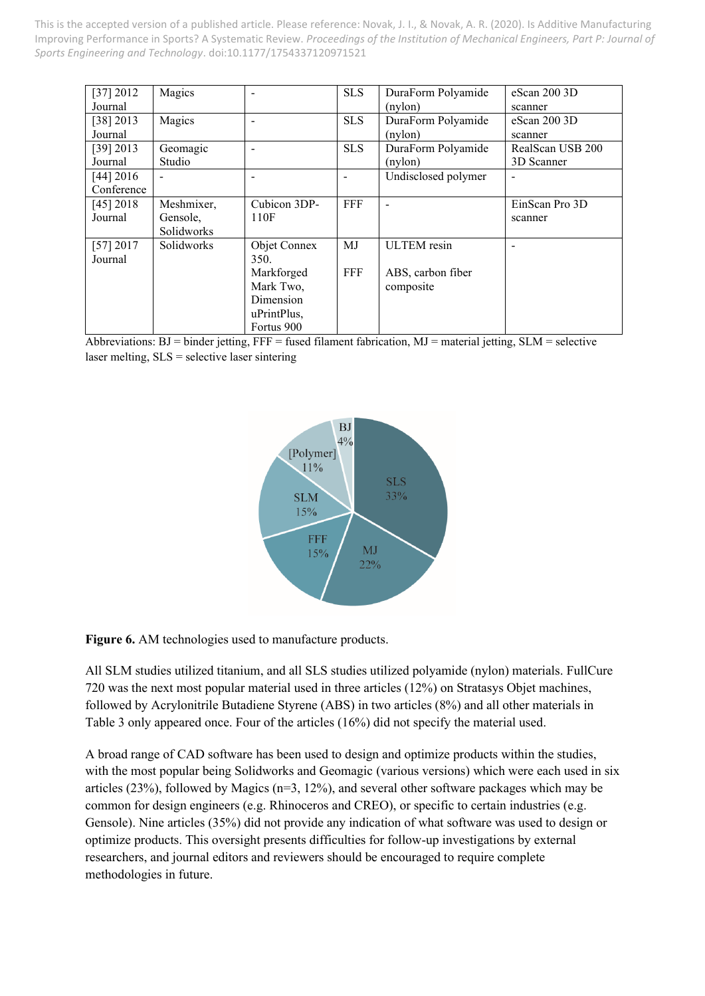| [37] 2012   | Magics                   |              | <b>SLS</b> | DuraForm Polyamide  | eScan 200 3D     |
|-------------|--------------------------|--------------|------------|---------------------|------------------|
| Journal     |                          |              |            | (nylon)             | scanner          |
| $[38]$ 2013 | Magics                   |              | <b>SLS</b> | DuraForm Polyamide  | $e$ Scan 200 3D  |
| Journal     |                          |              |            | (nylon)             | scanner          |
| $[39]$ 2013 | Geomagic                 |              | <b>SLS</b> | DuraForm Polyamide  | RealScan USB 200 |
| Journal     | Studio                   |              |            | $(n$ ylon $)$       | 3D Scanner       |
| [44] 2016   | $\overline{\phantom{0}}$ |              |            | Undisclosed polymer | $\blacksquare$   |
| Conference  |                          |              |            |                     |                  |
| $[45]$ 2018 | Meshmixer,               | Cubicon 3DP- | FFF        |                     | EinScan Pro 3D   |
| Journal     | Gensole,                 | 110F         |            |                     | scanner          |
|             | Solidworks               |              |            |                     |                  |
| [57] 2017   | Solidworks               | Objet Connex | MJ         | <b>ULTEM</b> resin  |                  |
| Journal     |                          | 350.         |            |                     |                  |
|             |                          | Markforged   | FFF        | ABS, carbon fiber   |                  |
|             |                          | Mark Two,    |            | composite           |                  |
|             |                          | Dimension    |            |                     |                  |
|             |                          | uPrintPlus,  |            |                     |                  |
|             |                          | Fortus 900   |            |                     |                  |

Abbreviations:  $BJ =$  binder jetting,  $FFF =$  fused filament fabrication,  $MJ =$  material jetting,  $SLM =$  selective laser melting, SLS = selective laser sintering



**Figure 6.** AM technologies used to manufacture products.

All SLM studies utilized titanium, and all SLS studies utilized polyamide (nylon) materials. FullCure 720 was the next most popular material used in three articles (12%) on Stratasys Objet machines, followed by Acrylonitrile Butadiene Styrene (ABS) in two articles (8%) and all other materials in Table 3 only appeared once. Four of the articles (16%) did not specify the material used.

A broad range of CAD software has been used to design and optimize products within the studies, with the most popular being Solidworks and Geomagic (various versions) which were each used in six articles (23%), followed by Magics (n=3, 12%), and several other software packages which may be common for design engineers (e.g. Rhinoceros and CREO), or specific to certain industries (e.g. Gensole). Nine articles (35%) did not provide any indication of what software was used to design or optimize products. This oversight presents difficulties for follow-up investigations by external researchers, and journal editors and reviewers should be encouraged to require complete methodologies in future.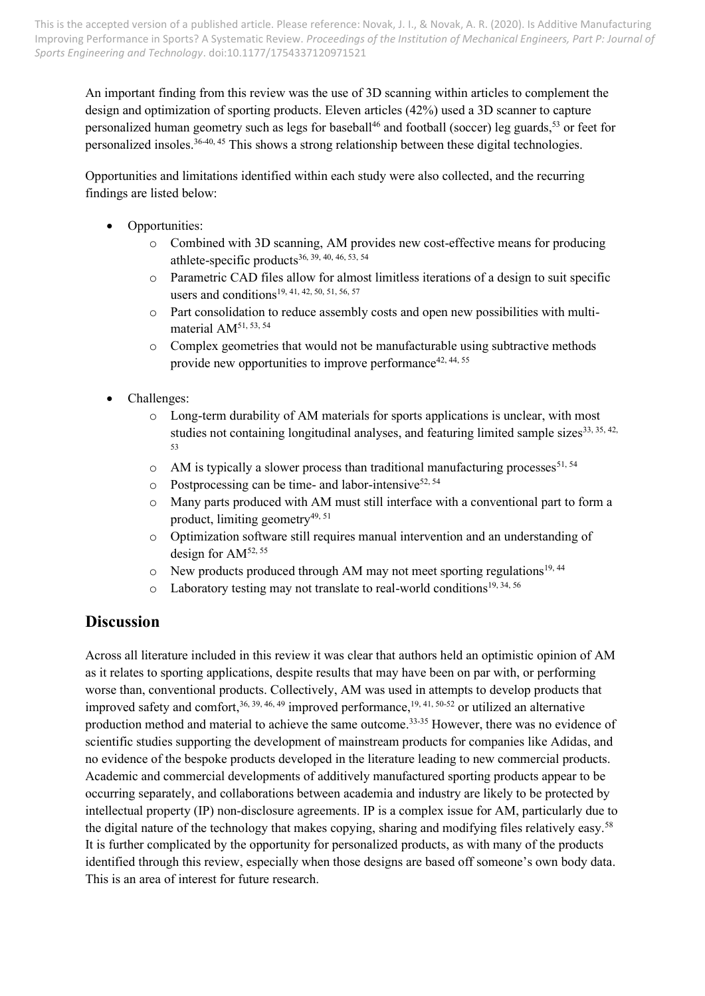An important finding from this review was the use of 3D scanning within articles to complement the design and optimization of sporting products. Eleven articles (42%) used a 3D scanner to capture personalized human geometry such as legs for baseball<sup>46</sup> and football (soccer) leg guards,<sup>53</sup> or feet for personalized insoles.<sup>36-40, 45</sup> This shows a strong relationship between these digital technologies.

Opportunities and limitations identified within each study were also collected, and the recurring findings are listed below:

- Opportunities:
	- o Combined with 3D scanning, AM provides new cost-effective means for producing athlete-specific products36, 39, 40, 46, 53, 54
	- o Parametric CAD files allow for almost limitless iterations of a design to suit specific users and conditions<sup>19, 41, 42, 50, 51, 56, 57</sup>
	- o Part consolidation to reduce assembly costs and open new possibilities with multimaterial AM<sup>51, 53, 54</sup>
	- $\circ$  Complex geometries that would not be manufacturable using subtractive methods provide new opportunities to improve performance<sup>42, 44, 55</sup>
- Challenges:
	- o Long-term durability of AM materials for sports applications is unclear, with most studies not containing longitudinal analyses, and featuring limited sample sizes $33, 35, 42$ , 53
	- $\circ$  AM is typically a slower process than traditional manufacturing processes<sup>51, 54</sup>
	- $\circ$  Postprocessing can be time- and labor-intensive<sup>52, 54</sup>
	- o Many parts produced with AM must still interface with a conventional part to form a product, limiting geometry<sup>49, 51</sup>
	- o Optimization software still requires manual intervention and an understanding of design for  $AM^{52, 55}$
	- $\circ$  New products produced through AM may not meet sporting regulations<sup>19, 44</sup>
	- $\circ$  Laboratory testing may not translate to real-world conditions<sup>19, 34, 56</sup>

### **Discussion**

Across all literature included in this review it was clear that authors held an optimistic opinion of AM as it relates to sporting applications, despite results that may have been on par with, or performing worse than, conventional products. Collectively, AM was used in attempts to develop products that improved safety and comfort,<sup>36, 39, 46, 49</sup> improved performance,<sup>19, 41, 50-52</sup> or utilized an alternative production method and material to achieve the same outcome. 33-35 However, there was no evidence of scientific studies supporting the development of mainstream products for companies like Adidas, and no evidence of the bespoke products developed in the literature leading to new commercial products. Academic and commercial developments of additively manufactured sporting products appear to be occurring separately, and collaborations between academia and industry are likely to be protected by intellectual property (IP) non-disclosure agreements. IP is a complex issue for AM, particularly due to the digital nature of the technology that makes copying, sharing and modifying files relatively easy.<sup>58</sup> It is further complicated by the opportunity for personalized products, as with many of the products identified through this review, especially when those designs are based off someone's own body data. This is an area of interest for future research.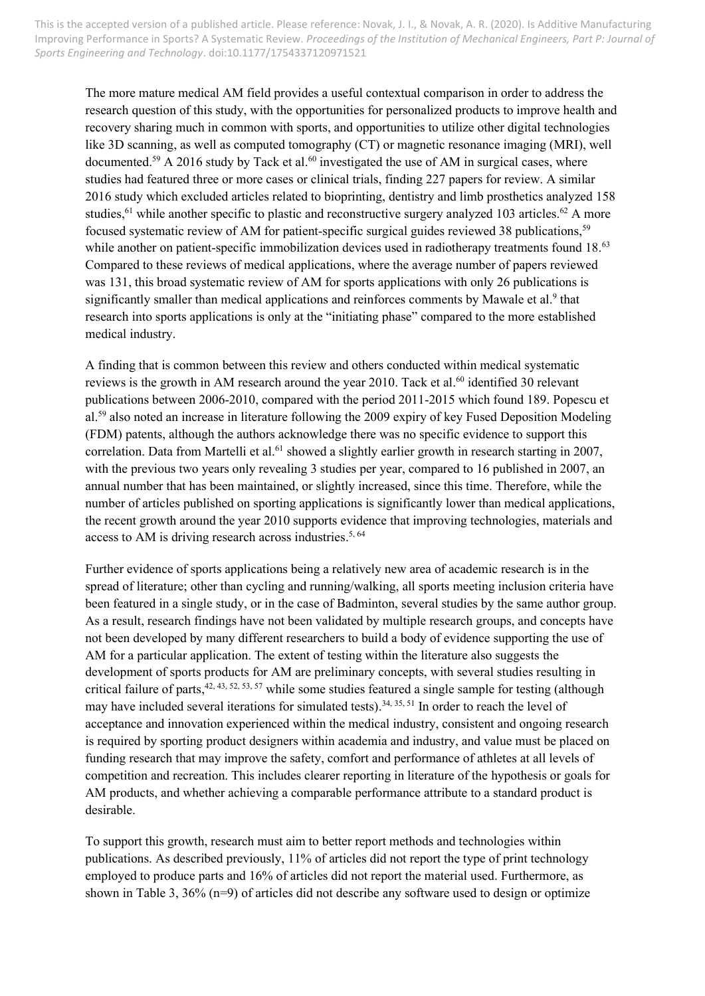The more mature medical AM field provides a useful contextual comparison in order to address the research question of this study, with the opportunities for personalized products to improve health and recovery sharing much in common with sports, and opportunities to utilize other digital technologies like 3D scanning, as well as computed tomography (CT) or magnetic resonance imaging (MRI), well documented.<sup>59</sup> A 2016 study by Tack et al.<sup>60</sup> investigated the use of AM in surgical cases, where studies had featured three or more cases or clinical trials, finding 227 papers for review. A similar 2016 study which excluded articles related to bioprinting, dentistry and limb prosthetics analyzed 158 studies,<sup>61</sup> while another specific to plastic and reconstructive surgery analyzed 103 articles.<sup>62</sup> A more focused systematic review of AM for patient-specific surgical guides reviewed 38 publications,<sup>59</sup> while another on patient-specific immobilization devices used in radiotherapy treatments found 18.<sup>63</sup> Compared to these reviews of medical applications, where the average number of papers reviewed was 131, this broad systematic review of AM for sports applications with only 26 publications is significantly smaller than medical applications and reinforces comments by Mawale et al.<sup>9</sup> that research into sports applications is only at the "initiating phase" compared to the more established medical industry.

A finding that is common between this review and others conducted within medical systematic reviews is the growth in AM research around the year 2010. Tack et al.<sup>60</sup> identified 30 relevant publications between 2006-2010, compared with the period 2011-2015 which found 189. Popescu et al.<sup>59</sup> also noted an increase in literature following the 2009 expiry of key Fused Deposition Modeling (FDM) patents, although the authors acknowledge there was no specific evidence to support this correlation. Data from Martelli et al.<sup>61</sup> showed a slightly earlier growth in research starting in 2007, with the previous two years only revealing 3 studies per year, compared to 16 published in 2007, an annual number that has been maintained, or slightly increased, since this time. Therefore, while the number of articles published on sporting applications is significantly lower than medical applications, the recent growth around the year 2010 supports evidence that improving technologies, materials and access to AM is driving research across industries.<sup>5, 64</sup>

Further evidence of sports applications being a relatively new area of academic research is in the spread of literature; other than cycling and running/walking, all sports meeting inclusion criteria have been featured in a single study, or in the case of Badminton, several studies by the same author group. As a result, research findings have not been validated by multiple research groups, and concepts have not been developed by many different researchers to build a body of evidence supporting the use of AM for a particular application. The extent of testing within the literature also suggests the development of sports products for AM are preliminary concepts, with several studies resulting in critical failure of parts, <sup>42, 43, 52, 53, 57</sup> while some studies featured a single sample for testing (although may have included several iterations for simulated tests).<sup>34, 35, 51</sup> In order to reach the level of acceptance and innovation experienced within the medical industry, consistent and ongoing research is required by sporting product designers within academia and industry, and value must be placed on funding research that may improve the safety, comfort and performance of athletes at all levels of competition and recreation. This includes clearer reporting in literature of the hypothesis or goals for AM products, and whether achieving a comparable performance attribute to a standard product is desirable.

To support this growth, research must aim to better report methods and technologies within publications. As described previously, 11% of articles did not report the type of print technology employed to produce parts and 16% of articles did not report the material used. Furthermore, as shown in Table 3,  $36\%$  (n=9) of articles did not describe any software used to design or optimize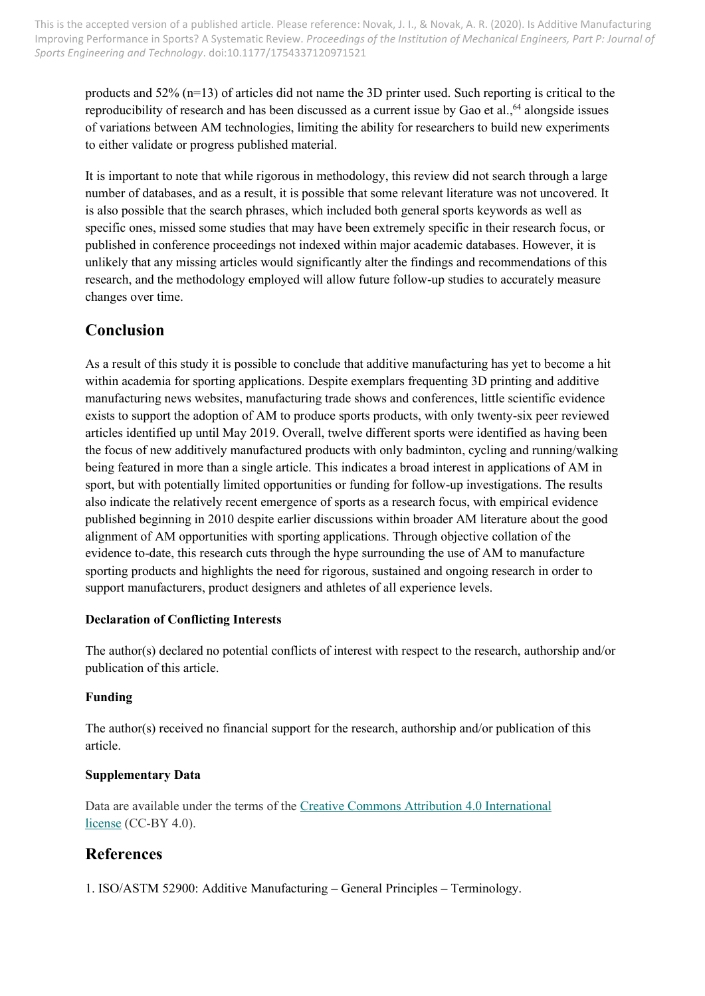products and 52% (n=13) of articles did not name the 3D printer used. Such reporting is critical to the reproducibility of research and has been discussed as a current issue by Gao et al.,<sup>64</sup> alongside issues of variations between AM technologies, limiting the ability for researchers to build new experiments to either validate or progress published material.

It is important to note that while rigorous in methodology, this review did not search through a large number of databases, and as a result, it is possible that some relevant literature was not uncovered. It is also possible that the search phrases, which included both general sports keywords as well as specific ones, missed some studies that may have been extremely specific in their research focus, or published in conference proceedings not indexed within major academic databases. However, it is unlikely that any missing articles would significantly alter the findings and recommendations of this research, and the methodology employed will allow future follow-up studies to accurately measure changes over time.

### **Conclusion**

As a result of this study it is possible to conclude that additive manufacturing has yet to become a hit within academia for sporting applications. Despite exemplars frequenting 3D printing and additive manufacturing news websites, manufacturing trade shows and conferences, little scientific evidence exists to support the adoption of AM to produce sports products, with only twenty-six peer reviewed articles identified up until May 2019. Overall, twelve different sports were identified as having been the focus of new additively manufactured products with only badminton, cycling and running/walking being featured in more than a single article. This indicates a broad interest in applications of AM in sport, but with potentially limited opportunities or funding for follow-up investigations. The results also indicate the relatively recent emergence of sports as a research focus, with empirical evidence published beginning in 2010 despite earlier discussions within broader AM literature about the good alignment of AM opportunities with sporting applications. Through objective collation of the evidence to-date, this research cuts through the hype surrounding the use of AM to manufacture sporting products and highlights the need for rigorous, sustained and ongoing research in order to support manufacturers, product designers and athletes of all experience levels.

### **Declaration of Conflicting Interests**

The author(s) declared no potential conflicts of interest with respect to the research, authorship and/or publication of this article.

### **Funding**

The author(s) received no financial support for the research, authorship and/or publication of this article.

#### **Supplementary Data**

Data are available under the terms of the [Creative Commons Attribution 4.0 International](https://creativecommons.org/licenses/by/4.0/legalcode)  [license](https://creativecommons.org/licenses/by/4.0/legalcode) (CC-BY 4.0).

### **References**

1. ISO/ASTM 52900: Additive Manufacturing – General Principles – Terminology.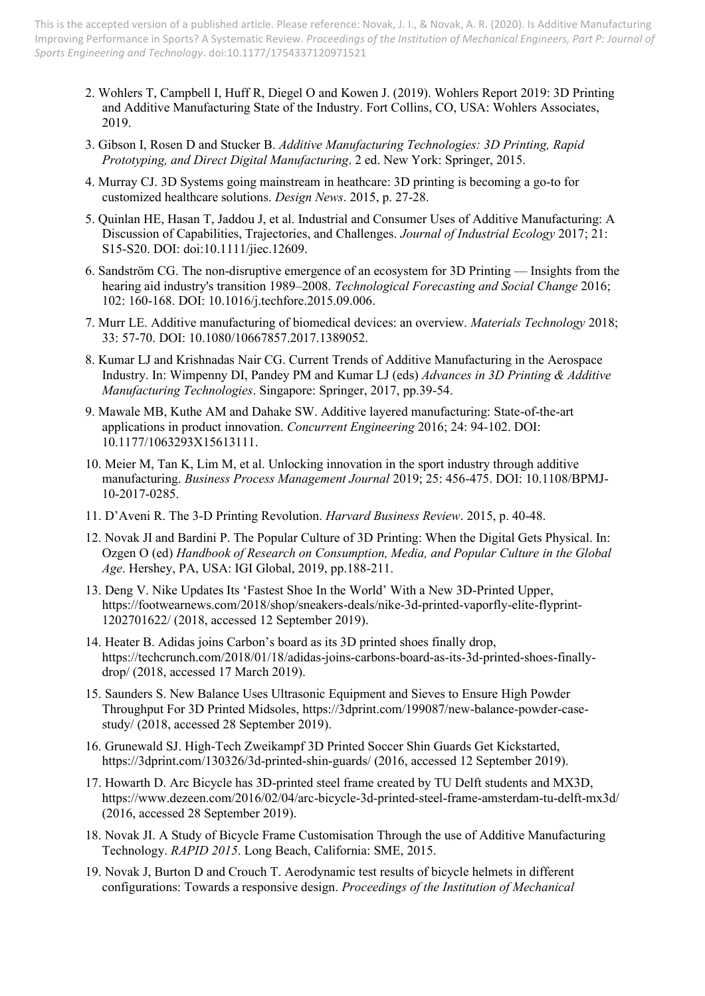- 2. Wohlers T, Campbell I, Huff R, Diegel O and Kowen J. (2019). Wohlers Report 2019: 3D Printing and Additive Manufacturing State of the Industry. Fort Collins, CO, USA: Wohlers Associates, 2019.
- 3. Gibson I, Rosen D and Stucker B. *Additive Manufacturing Technologies: 3D Printing, Rapid Prototyping, and Direct Digital Manufacturing*. 2 ed. New York: Springer, 2015.
- 4. Murray CJ. 3D Systems going mainstream in heathcare: 3D printing is becoming a go-to for customized healthcare solutions. *Design News*. 2015, p. 27-28.
- 5. Quinlan HE, Hasan T, Jaddou J, et al. Industrial and Consumer Uses of Additive Manufacturing: A Discussion of Capabilities, Trajectories, and Challenges. *Journal of Industrial Ecology* 2017; 21: S15-S20. DOI: doi:10.1111/jiec.12609.
- 6. Sandström CG. The non-disruptive emergence of an ecosystem for 3D Printing Insights from the hearing aid industry's transition 1989–2008. *Technological Forecasting and Social Change* 2016; 102: 160-168. DOI: 10.1016/j.techfore.2015.09.006.
- 7. Murr LE. Additive manufacturing of biomedical devices: an overview. *Materials Technology* 2018; 33: 57-70. DOI: 10.1080/10667857.2017.1389052.
- 8. Kumar LJ and Krishnadas Nair CG. Current Trends of Additive Manufacturing in the Aerospace Industry. In: Wimpenny DI, Pandey PM and Kumar LJ (eds) *Advances in 3D Printing & Additive Manufacturing Technologies*. Singapore: Springer, 2017, pp.39-54.
- 9. Mawale MB, Kuthe AM and Dahake SW. Additive layered manufacturing: State-of-the-art applications in product innovation. *Concurrent Engineering* 2016; 24: 94-102. DOI: 10.1177/1063293X15613111.
- 10. Meier M, Tan K, Lim M, et al. Unlocking innovation in the sport industry through additive manufacturing. *Business Process Management Journal* 2019; 25: 456-475. DOI: 10.1108/BPMJ-10-2017-0285.
- 11. D'Aveni R. The 3-D Printing Revolution. *Harvard Business Review*. 2015, p. 40-48.
- 12. Novak JI and Bardini P. The Popular Culture of 3D Printing: When the Digital Gets Physical. In: Ozgen O (ed) *Handbook of Research on Consumption, Media, and Popular Culture in the Global Age*. Hershey, PA, USA: IGI Global, 2019, pp.188-211.
- 13. Deng V. Nike Updates Its 'Fastest Shoe In the World' With a New 3D-Printed Upper, [https://footwearnews.com/2018/shop/sneakers-deals/nike-3d-printed-vaporfly-elite-flyprint-](https://footwearnews.com/2018/shop/sneakers-deals/nike-3d-printed-vaporfly-elite-flyprint-1202701622/)[1202701622/](https://footwearnews.com/2018/shop/sneakers-deals/nike-3d-printed-vaporfly-elite-flyprint-1202701622/) (2018, accessed 12 September 2019).
- 14. Heater B. Adidas joins Carbon's board as its 3D printed shoes finally drop, [https://techcrunch.com/2018/01/18/adidas-joins-carbons-board-as-its-3d-printed-shoes-finally](https://techcrunch.com/2018/01/18/adidas-joins-carbons-board-as-its-3d-printed-shoes-finally-drop/)[drop/](https://techcrunch.com/2018/01/18/adidas-joins-carbons-board-as-its-3d-printed-shoes-finally-drop/) (2018, accessed 17 March 2019).
- 15. Saunders S. New Balance Uses Ultrasonic Equipment and Sieves to Ensure High Powder Throughput For 3D Printed Midsoles, [https://3dprint.com/199087/new-balance-powder-case](https://3dprint.com/199087/new-balance-powder-case-study/)[study/](https://3dprint.com/199087/new-balance-powder-case-study/) (2018, accessed 28 September 2019).
- 16. Grunewald SJ. High-Tech Zweikampf 3D Printed Soccer Shin Guards Get Kickstarted, <https://3dprint.com/130326/3d-printed-shin-guards/> (2016, accessed 12 September 2019).
- 17. Howarth D. Arc Bicycle has 3D-printed steel frame created by TU Delft students and MX3D, <https://www.dezeen.com/2016/02/04/arc-bicycle-3d-printed-steel-frame-amsterdam-tu-delft-mx3d/> (2016, accessed 28 September 2019).
- 18. Novak JI. A Study of Bicycle Frame Customisation Through the use of Additive Manufacturing Technology. *RAPID 2015*. Long Beach, California: SME, 2015.
- 19. Novak J, Burton D and Crouch T. Aerodynamic test results of bicycle helmets in different configurations: Towards a responsive design. *Proceedings of the Institution of Mechanical*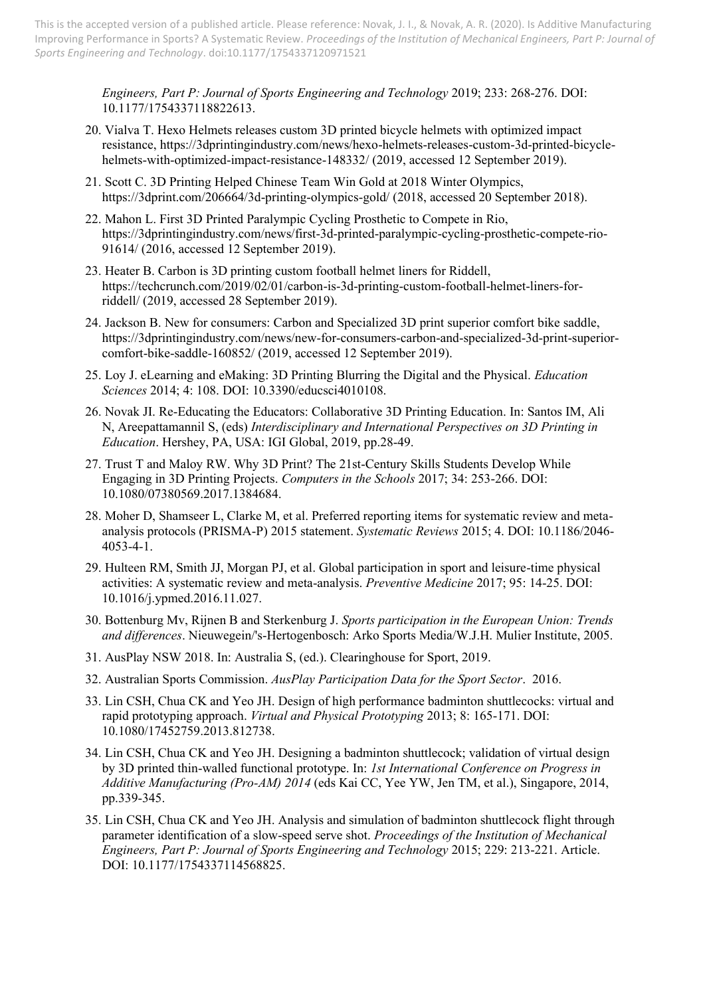*Engineers, Part P: Journal of Sports Engineering and Technology* 2019; 233: 268-276. DOI: 10.1177/1754337118822613.

- 20. Vialva T. Hexo Helmets releases custom 3D printed bicycle helmets with optimized impact resistance, [https://3dprintingindustry.com/news/hexo-helmets-releases-custom-3d-printed-bicycle](https://3dprintingindustry.com/news/hexo-helmets-releases-custom-3d-printed-bicycle-helmets-with-optimized-impact-resistance-148332/)[helmets-with-optimized-impact-resistance-148332/](https://3dprintingindustry.com/news/hexo-helmets-releases-custom-3d-printed-bicycle-helmets-with-optimized-impact-resistance-148332/) (2019, accessed 12 September 2019).
- 21. Scott C. 3D Printing Helped Chinese Team Win Gold at 2018 Winter Olympics, <https://3dprint.com/206664/3d-printing-olympics-gold/> (2018, accessed 20 September 2018).
- 22. Mahon L. First 3D Printed Paralympic Cycling Prosthetic to Compete in Rio, [https://3dprintingindustry.com/news/first-3d-printed-paralympic-cycling-prosthetic-compete-rio-](https://3dprintingindustry.com/news/first-3d-printed-paralympic-cycling-prosthetic-compete-rio-91614/)[91614/](https://3dprintingindustry.com/news/first-3d-printed-paralympic-cycling-prosthetic-compete-rio-91614/) (2016, accessed 12 September 2019).
- 23. Heater B. Carbon is 3D printing custom football helmet liners for Riddell, [https://techcrunch.com/2019/02/01/carbon-is-3d-printing-custom-football-helmet-liners-for](https://techcrunch.com/2019/02/01/carbon-is-3d-printing-custom-football-helmet-liners-for-riddell/)[riddell/](https://techcrunch.com/2019/02/01/carbon-is-3d-printing-custom-football-helmet-liners-for-riddell/) (2019, accessed 28 September 2019).
- 24. Jackson B. New for consumers: Carbon and Specialized 3D print superior comfort bike saddle, [https://3dprintingindustry.com/news/new-for-consumers-carbon-and-specialized-3d-print-superior](https://3dprintingindustry.com/news/new-for-consumers-carbon-and-specialized-3d-print-superior-comfort-bike-saddle-160852/)[comfort-bike-saddle-160852/](https://3dprintingindustry.com/news/new-for-consumers-carbon-and-specialized-3d-print-superior-comfort-bike-saddle-160852/) (2019, accessed 12 September 2019).
- 25. Loy J. eLearning and eMaking: 3D Printing Blurring the Digital and the Physical. *Education Sciences* 2014; 4: 108. DOI: 10.3390/educsci4010108.
- 26. Novak JI. Re-Educating the Educators: Collaborative 3D Printing Education. In: Santos IM, Ali N, Areepattamannil S, (eds) *Interdisciplinary and International Perspectives on 3D Printing in Education*. Hershey, PA, USA: IGI Global, 2019, pp.28-49.
- 27. Trust T and Maloy RW. Why 3D Print? The 21st-Century Skills Students Develop While Engaging in 3D Printing Projects. *Computers in the Schools* 2017; 34: 253-266. DOI: 10.1080/07380569.2017.1384684.
- 28. Moher D, Shamseer L, Clarke M, et al. Preferred reporting items for systematic review and metaanalysis protocols (PRISMA-P) 2015 statement. *Systematic Reviews* 2015; 4. DOI: 10.1186/2046- 4053-4-1.
- 29. Hulteen RM, Smith JJ, Morgan PJ, et al. Global participation in sport and leisure-time physical activities: A systematic review and meta-analysis. *Preventive Medicine* 2017; 95: 14-25. DOI: 10.1016/j.ypmed.2016.11.027.
- 30. Bottenburg Mv, Rijnen B and Sterkenburg J. *Sports participation in the European Union: Trends and differences*. Nieuwegein/'s-Hertogenbosch: Arko Sports Media/W.J.H. Mulier Institute, 2005.
- 31. AusPlay NSW 2018. In: Australia S, (ed.). Clearinghouse for Sport, 2019.
- 32. Australian Sports Commission. *AusPlay Participation Data for the Sport Sector*. 2016.
- 33. Lin CSH, Chua CK and Yeo JH. Design of high performance badminton shuttlecocks: virtual and rapid prototyping approach. *Virtual and Physical Prototyping* 2013; 8: 165-171. DOI: 10.1080/17452759.2013.812738.
- 34. Lin CSH, Chua CK and Yeo JH. Designing a badminton shuttlecock; validation of virtual design by 3D printed thin-walled functional prototype. In: *1st International Conference on Progress in Additive Manufacturing (Pro-AM) 2014* (eds Kai CC, Yee YW, Jen TM, et al.), Singapore, 2014, pp.339-345.
- 35. Lin CSH, Chua CK and Yeo JH. Analysis and simulation of badminton shuttlecock flight through parameter identification of a slow-speed serve shot. *Proceedings of the Institution of Mechanical Engineers, Part P: Journal of Sports Engineering and Technology* 2015; 229: 213-221. Article. DOI: 10.1177/1754337114568825.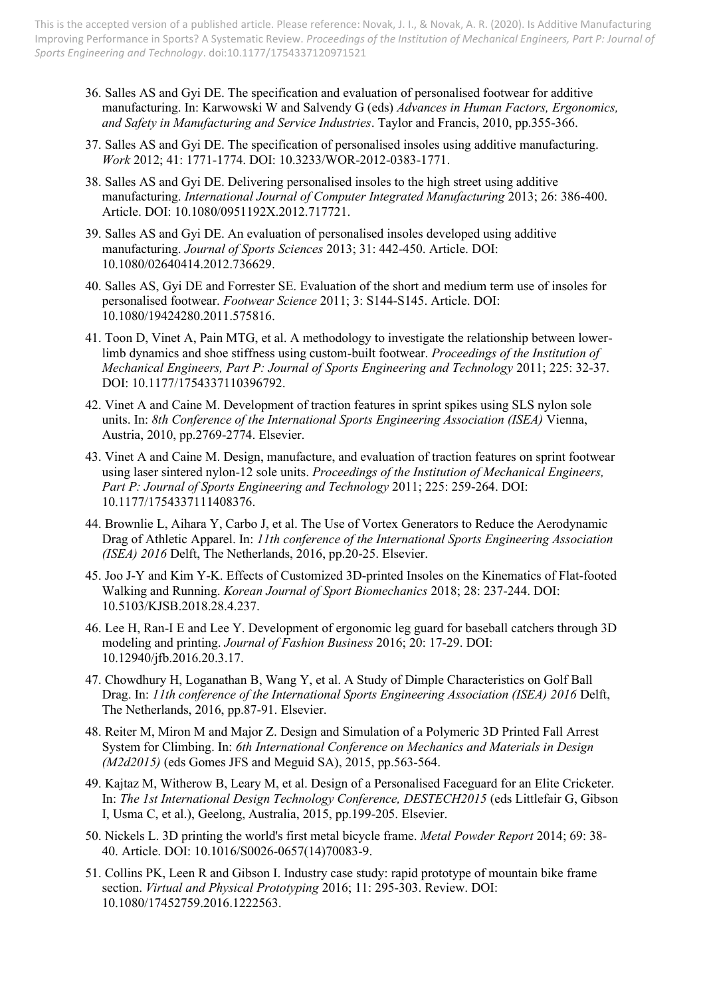- 36. Salles AS and Gyi DE. The specification and evaluation of personalised footwear for additive manufacturing. In: Karwowski W and Salvendy G (eds) *Advances in Human Factors, Ergonomics, and Safety in Manufacturing and Service Industries*. Taylor and Francis, 2010, pp.355-366.
- 37. Salles AS and Gyi DE. The specification of personalised insoles using additive manufacturing. *Work* 2012; 41: 1771-1774. DOI: 10.3233/WOR-2012-0383-1771.
- 38. Salles AS and Gyi DE. Delivering personalised insoles to the high street using additive manufacturing. *International Journal of Computer Integrated Manufacturing* 2013; 26: 386-400. Article. DOI: 10.1080/0951192X.2012.717721.
- 39. Salles AS and Gyi DE. An evaluation of personalised insoles developed using additive manufacturing. *Journal of Sports Sciences* 2013; 31: 442-450. Article. DOI: 10.1080/02640414.2012.736629.
- 40. Salles AS, Gyi DE and Forrester SE. Evaluation of the short and medium term use of insoles for personalised footwear. *Footwear Science* 2011; 3: S144-S145. Article. DOI: 10.1080/19424280.2011.575816.
- 41. Toon D, Vinet A, Pain MTG, et al. A methodology to investigate the relationship between lowerlimb dynamics and shoe stiffness using custom-built footwear. *Proceedings of the Institution of Mechanical Engineers, Part P: Journal of Sports Engineering and Technology* 2011; 225: 32-37. DOI: 10.1177/1754337110396792.
- 42. Vinet A and Caine M. Development of traction features in sprint spikes using SLS nylon sole units. In: *8th Conference of the International Sports Engineering Association (ISEA)* Vienna, Austria, 2010, pp.2769-2774. Elsevier.
- 43. Vinet A and Caine M. Design, manufacture, and evaluation of traction features on sprint footwear using laser sintered nylon-12 sole units. *Proceedings of the Institution of Mechanical Engineers, Part P: Journal of Sports Engineering and Technology* 2011; 225: 259-264. DOI: 10.1177/1754337111408376.
- 44. Brownlie L, Aihara Y, Carbo J, et al. The Use of Vortex Generators to Reduce the Aerodynamic Drag of Athletic Apparel. In: *11th conference of the International Sports Engineering Association (ISEA) 2016* Delft, The Netherlands, 2016, pp.20-25. Elsevier.
- 45. Joo J-Y and Kim Y-K. Effects of Customized 3D-printed Insoles on the Kinematics of Flat-footed Walking and Running. *Korean Journal of Sport Biomechanics* 2018; 28: 237-244. DOI: 10.5103/KJSB.2018.28.4.237.
- 46. Lee H, Ran-I E and Lee Y. Development of ergonomic leg guard for baseball catchers through 3D modeling and printing. *Journal of Fashion Business* 2016; 20: 17-29. DOI: 10.12940/jfb.2016.20.3.17.
- 47. Chowdhury H, Loganathan B, Wang Y, et al. A Study of Dimple Characteristics on Golf Ball Drag. In: *11th conference of the International Sports Engineering Association (ISEA) 2016* Delft, The Netherlands, 2016, pp.87-91. Elsevier.
- 48. Reiter M, Miron M and Major Z. Design and Simulation of a Polymeric 3D Printed Fall Arrest System for Climbing. In: *6th International Conference on Mechanics and Materials in Design (M2d2015)* (eds Gomes JFS and Meguid SA), 2015, pp.563-564.
- 49. Kajtaz M, Witherow B, Leary M, et al. Design of a Personalised Faceguard for an Elite Cricketer. In: *The 1st International Design Technology Conference, DESTECH2015* (eds Littlefair G, Gibson I, Usma C, et al.), Geelong, Australia, 2015, pp.199-205. Elsevier.
- 50. Nickels L. 3D printing the world's first metal bicycle frame. *Metal Powder Report* 2014; 69: 38- 40. Article. DOI: 10.1016/S0026-0657(14)70083-9.
- 51. Collins PK, Leen R and Gibson I. Industry case study: rapid prototype of mountain bike frame section. *Virtual and Physical Prototyping* 2016; 11: 295-303. Review. DOI: 10.1080/17452759.2016.1222563.